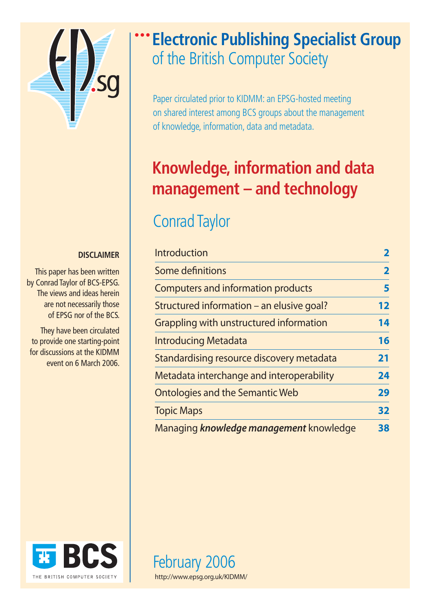

# **DISCLAIMER**

This paper has been written by Conrad Taylor of BCS-EPSG. The views and ideas herein are not necessarily those of EPSG nor of the BCS.

They have been circulated to provide one starting-point for discussions at the KIDMM event on 6 March 2006.

# **Electronic Publishing Specialist Group** of the British Computer Society

Paper circulated prior to KIDMM: an EPSG-hosted meeting on shared interest among BCS groups about the management of knowledge, information, data and metadata.

# **Knowledge, information and data management – and technology**

# Conrad Taylor

| Introduction                              |                 |
|-------------------------------------------|-----------------|
| Some definitions                          | $\overline{2}$  |
| <b>Computers and information products</b> | 5               |
| Structured information – an elusive goal? | 12 <sub>1</sub> |
| Grappling with unstructured information   | 14              |
| <b>Introducing Metadata</b>               | 16              |
| Standardising resource discovery metadata | 21              |
| Metadata interchange and interoperability | 24              |
| <b>Ontologies and the Semantic Web</b>    | 29              |
| <b>Topic Maps</b>                         | 32              |
| Managing knowledge management knowledge   | 38              |



February 2006 http://www.epsg.org.uk/KIDMM/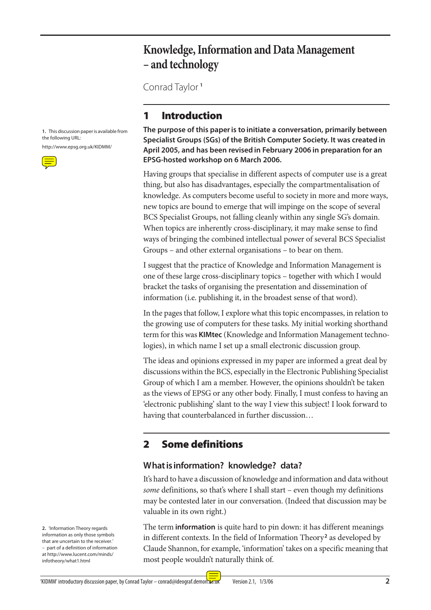# **Knowledge, Information and Data Management – and technology**

Conrad Taylor **<sup>1</sup>**

## **1 Introduction**

**The purpose of this paper is to initiate a conversation, primarily between Specialist Groups (SGs) of the British Computer Society. It was created in April 2005, and has been revised in February 2006 in preparation for an EPSG-hosted workshop on 6 March 2006.**

Having groups that specialise in different aspects of computer use is a great thing, but also has disadvantages, especially the compartmentalisation of knowledge. As computers become useful to society in more and more ways, new topics are bound to emerge that will impinge on the scope of several BCS Specialist Groups, not falling cleanly within any single SG's domain. When topics are inherently cross-disciplinary, it may make sense to find ways of bringing the combined intellectual power of several BCS Specialist Groups – and other external organisations – to bear on them.

I suggest that the practice of Knowledge and Information Management is one of these large cross-disciplinary topics – together with which I would bracket the tasks of organising the presentation and dissemination of information (i.e. publishing it, in the broadest sense of that word).

In the pages that follow, I explore what this topic encompasses, in relation to the growing use of computers for these tasks. My initial working shorthand term for this was **KIMtec** (Knowledge and Information Management technologies), in which name I set up a small electronic discussion group.

The ideas and opinions expressed in my paper are informed a great deal by discussions within the BCS, especially in the Electronic Publishing Specialist Group of which I am a member. However, the opinions shouldn't be taken as the views of EPSG or any other body. Finally, I must confess to having an 'electronic publishing' slant to the way I view this subject! I look forward to having that counterbalanced in further discussion…

# **2 Some definitions**

### **What is information? knowledge? data?**

It's hard to have a discussion of knowledge and information and data without *some* definitions, so that's where I shall start – even though my definitions may be contested later in our conversation. (Indeed that discussion may be valuable in its own right.)

The term **information** is quite hard to pin down: it has different meanings in different contexts. In the field of Information Theory**<sup>2</sup>** as developed by Claude Shannon, for example, 'information' takes on a specific meaning that most people wouldn't naturally think of.

**2.** 'Information Theory regards information as only those symbols that are uncertain to the receiver.' – part of a definition of information at http://www.lucent.com/minds/ infotheory/what1.html



the following URL:

1. This discussion paper is available from

http://www.epsg.org.uk/KIDMM/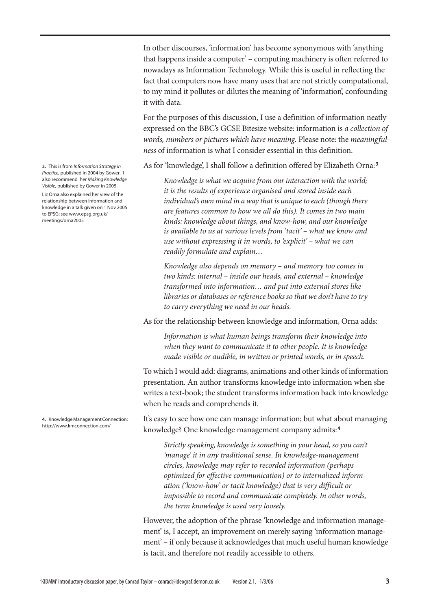In other discourses, 'information' has become synonymous with 'anything that happens inside a computer' – computing machinery is often referred to nowadays as Information Technology. While this is useful in reflecting the fact that computers now have many uses that are not strictly computational, to my mind it pollutes or dilutes the meaning of 'information', confounding it with data.

For the purposes of this discussion, I use a definition of information neatly expressed on the BBC's GCSE Bitesize website: information is *a collection of words, numbers or pictures which have meaning.* Please note: the *meaningfulness* of information is what I consider essential in this definition.

As for 'knowledge', I shall follow a definition offered by Elizabeth Orna:**<sup>3</sup>**

*Knowledge is what we acquire from our interaction with the world; it is the results of experience organised and stored inside each individual's own mind in a way that is unique to each (though there are features common to how we all do this). It comes in two main kinds: knowledge about things, and know-how, and our knowledge is available to us at various levels from 'tacit' – what we know and use without expresssing it in words, to 'explicit' – what we can readily formulate and explain…*

*Knowledge also depends on memory – and memory too comes in two kinds: internal – inside our heads, and external – knowledge transformed into information… and put into external stores like libraries or databases or reference books so that we don't have to try to carry everything we need in our heads.*

As for the relationship between knowledge and information, Orna adds:

*Information is what human beings transform their knowledge into when they want to communicate it to other people. It is knowledge made visible or audible, in written or printed words, or in speech.*

To which I would add: diagrams, animations and other kinds of information presentation. An author transforms knowledge into information when she writes a text-book; the student transforms information back into knowledge when he reads and comprehends it.

It's easy to see how one can manage information; but what about managing knowledge? One knowledge management company admits:**<sup>4</sup>**

*Strictly speaking, knowledge is something in your head, so you can't 'manage' it in any traditional sense. In knowledge-management circles, knowledge may refer to recorded information (perhaps optimized for effective communication) or to internalized information ('know-how' or tacit knowledge) that is very difficult or impossible to record and communicate completely. In other words, the term knowledge is used very loosely.*

However, the adoption of the phrase 'knowledge and information management' is, I accept, an improvement on merely saying 'information management' – if only because it acknowledges that much useful human knowledge is tacit, and therefore not readily accessible to others.

**3.** This is from Information Strategy in Practice, published in 2004 by Gower. I also recommend her Making Knowledge Visible, published by Gower in 2005.

Liz Orna also explained her view of the relationship between information and knowledge in a talk given on 1 Nov 2005 to EPSG: see www.epsg.org.uk/ meetings/orna2005

**4.** KnowledgeManagementConnection: http://www.kmconnection.com/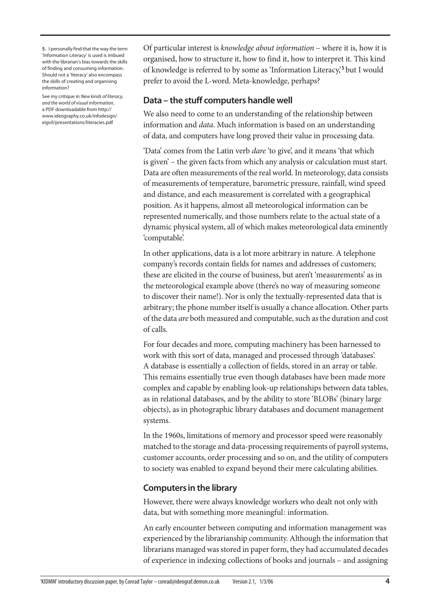**5.** I personally find that the way the term 'Information Literacy' is used is imbued with the librarian's biastowardsthe skills of finding and consuming information. Should not a 'literacy' also encompass the skills of creating and organising information?

See my critique in New kinds of literacy, and the world of visual information, a PDF downloadable from http:// www.ideography.co.uk/infodesign/ eigvil/presentations/literacies.pdf

Of particular interest is *knowledge about information* – where it is, how it is organised, how to structure it, how to find it, how to interpret it. This kind of knowledge is referred to by some as 'Information Literacy,'**<sup>5</sup>**but I would prefer to avoid the L-word. Meta-knowledge, perhaps?

#### **Data – the stuff computers handle well**

We also need to come to an understanding of the relationship between information and *data*. Much information is based on an understanding of data, and computers have long proved their value in processing data.

'Data' comes from the Latin verb *dare* 'to give', and it means 'that which is given' – the given facts from which any analysis or calculation must start. Data are often measurements of the real world. In meteorology, data consists of measurements of temperature, barometric pressure, rainfall, wind speed and distance, and each measurement is correlated with a geographical position. As it happens, almost all meteorological information can be represented numerically, and those numbers relate to the actual state of a dynamic physical system, all of which makes meteorological data eminently 'computable'.

In other applications, data is a lot more arbitrary in nature. A telephone company's records contain fields for names and addresses of customers; these are elicited in the course of business, but aren't 'measurements' as in the meteorological example above (there's no way of measuring someone to discover their name!). Nor is only the textually-represented data that is arbitrary; the phone number itself is usually a chance allocation. Other parts of the data *are* both measured and computable, such as the duration and cost of calls.

For four decades and more, computing machinery has been harnessed to work with this sort of data, managed and processed through 'databases'. A database is essentially a collection of fields, stored in an array or table. This remains essentially true even though databases have been made more complex and capable by enabling look-up relationships between data tables, as in relational databases, and by the ability to store 'BLOBs' (binary large objects), as in photographic library databases and document management systems.

In the 1960s, limitations of memory and processor speed were reasonably matched to the storage and data-processing requirements of payroll systems, customer accounts, order processing and so on, and the utility of computers to society was enabled to expand beyond their mere calculating abilities.

### <span id="page-3-0"></span>**Computers in the library**

However, there were always knowledge workers who dealt not only with data, but with something more meaningful: information.

An early encounter between computing and information management was experienced by the librarianship community. Although the information that librarians managed was stored in paper form, they had accumulated decades of experience in indexing collections of books and journals – and assigning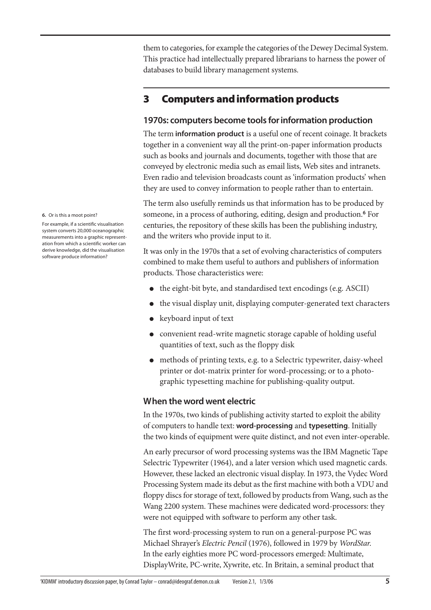them to categories, for example the categories of the Dewey Decimal System. This practice had intellectually prepared librarians to harness the power of databases to build library management systems.

# **3 Computers and information products**

### **1970s: computers become tools for information production**

The term **information product** is a useful one of recent coinage. It brackets together in a convenient way all the print-on-paper information products such as books and journals and documents, together with those that are conveyed by electronic media such as email lists, Web sites and intranets. Even radio and television broadcasts count as 'information products' when they are used to convey information to people rather than to entertain.

The term also usefully reminds us that information has to be produced by someone, in a process of authoring, editing, design and production.**<sup>6</sup>** For centuries, the repository of these skills has been the publishing industry, and the writers who provide input to it.

It was only in the 1970s that a set of evolving characteristics of computers combined to make them useful to authors and publishers of information products. Those characteristics were:

- the eight-bit byte, and standardised text encodings (e.g. ASCII)
- the visual display unit, displaying computer-generated text characters
- keyboard input of text
- convenient read-write magnetic storage capable of holding useful quantities of text, such as the floppy disk
- methods of printing texts, e.g. to a Selectric typewriter, daisy-wheel printer or dot-matrix printer for word-processing; or to a photographic typesetting machine for publishing-quality output.

## **When the word went electric**

In the 1970s, two kinds of publishing activity started to exploit the ability of computers to handle text: **word-processing** and **typesetting**. Initially the two kinds of equipment were quite distinct, and not even inter-operable.

An early precursor of word processing systems was the IBM Magnetic Tape Selectric Typewriter (1964), and a later version which used magnetic cards. However, these lacked an electronic visual display. In 1973, the Vydec Word Processing System made its debut as the first machine with both a VDU and floppy discs for storage of text, followed by products from Wang, such as the Wang 2200 system. These machines were dedicated word-processors: they were not equipped with software to perform any other task.

The first word-processing system to run on a general-purpose PC was Michael Shrayer's *Electric Pencil* (1976), followed in 1979 by *WordStar*. In the early eighties more PC word-processors emerged: Multimate, DisplayWrite, PC-write, Xywrite, etc. In Britain, a seminal product that

**6.** Or is this a moot point?

For example, if a scientific visualisation system converts 20,000 oceanographic measurements into a graphic representation from which a scientific worker can derive knowledge, did the visualisation software produce information?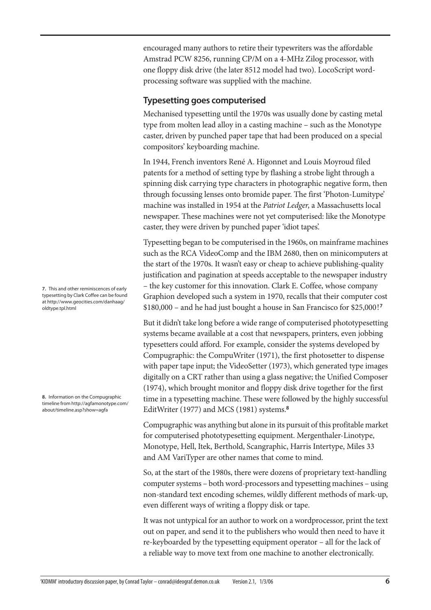encouraged many authors to retire their typewriters was the affordable Amstrad PCW 8256, running CP/M on a 4-MHz Zilog processor, with one floppy disk drive (the later 8512 model had two). LocoScript wordprocessing software was supplied with the machine.

#### **Typesetting goes computerised**

Mechanised typesetting until the 1970s was usually done by casting metal type from molten lead alloy in a casting machine – such as the Monotype caster, driven by punched paper tape that had been produced on a special compositors' keyboarding machine.

In 1944, French inventors René A. Higonnet and Louis Moyroud filed patents for a method of setting type by flashing a strobe light through a spinning disk carrying type characters in photographic negative form, then through focussing lenses onto bromide paper. The first 'Photon-Lumitype' machine was installed in 1954 at the *Patriot Ledger*, a Massachusetts local newspaper. These machines were not yet computerised: like the Monotype caster, they were driven by punched paper 'idiot tapes'.

Typesetting began to be computerised in the 1960s, on mainframe machines such as the RCA VideoComp and the IBM 2680, then on minicomputers at the start of the 1970s. It wasn't easy or cheap to achieve publishing-quality justification and pagination at speeds acceptable to the newspaper industry – the key customer for this innovation. Clark E. Coffee, whose company Graphion developed such a system in 1970, recalls that their computer cost \$180,000 – and he had just bought a house in San Francisco for \$25,000!**<sup>7</sup>**

But it didn't take long before a wide range of computerised phototypesetting systems became available at a cost that newspapers, printers, even jobbing typesetters could afford. For example, consider the systems developed by Compugraphic: the CompuWriter (1971), the first photosetter to dispense with paper tape input; the VideoSetter (1973), which generated type images digitally on a CRT rather than using a glass negative; the Unified Composer (1974), which brought monitor and floppy disk drive together for the first time in a typesetting machine. These were followed by the highly successful EditWriter (1977) and MCS (1981) systems.**<sup>8</sup>**

Compugraphic was anything but alone in its pursuit of this profitable market for computerised phototypesetting equipment. Mergenthaler-Linotype, Monotype, Hell, Itek, Berthold, Scangraphic, Harris Intertype, Miles 33 and AM VariTyper are other names that come to mind.

So, at the start of the 1980s, there were dozens of proprietary text-handling computer systems – both word-processors and typesetting machines – using non-standard text encoding schemes, wildly different methods of mark-up, even different ways of writing a floppy disk or tape.

It was not untypical for an author to work on a wordprocessor, print the text out on paper, and send it to the publishers who would then need to have it re-keyboarded by the typesetting equipment operator – all for the lack of a reliable way to move text from one machine to another electronically.

**7.** This and other reminiscences of early typesetting by Clark Coffee can be found at http://www.geocities.com/danhaag/ oldtype.tpl.html

**8.** Information on the Compugraphic timeline from http://agfamonotype.com/ about/timeline.asp?show=agfa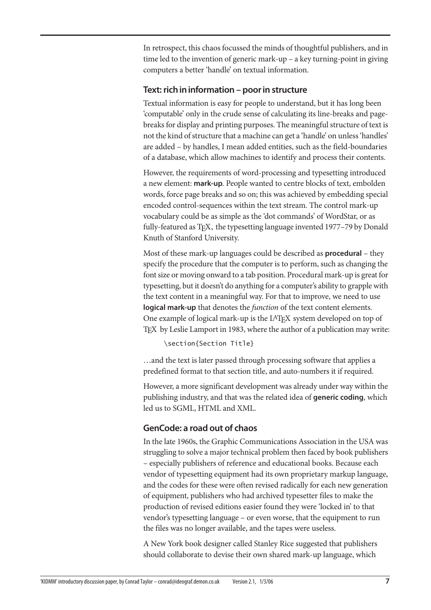In retrospect, this chaos focussed the minds of thoughtful publishers, and in time led to the invention of generic mark-up – a key turning-point in giving computers a better 'handle' on textual information.

#### **Text: rich in information – poor in structure**

Textual information is easy for people to understand, but it has long been 'computable' only in the crude sense of calculating its line-breaks and pagebreaks for display and printing purposes. The meaningful structure of text is not the kind of structure that a machine can get a 'handle' on unless 'handles' are added – by handles, I mean added entities, such as the field-boundaries of a database, which allow machines to identify and process their contents.

However, the requirements of word-processing and typesetting introduced a new element: **mark-up**. People wanted to centre blocks of text, embolden words, force page breaks and so on; this was achieved by embedding special encoded control-sequences within the text stream. The control mark-up vocabulary could be as simple as the 'dot commands' of WordStar, or as fully-featured as T<sub>F</sub>X, the typesetting language invented 1977–79 by Donald Knuth of Stanford University.

Most of these mark-up languages could be described as **procedural** – they specify the procedure that the computer is to perform, such as changing the font size or moving onward to a tab position. Procedural mark-up is great for typesetting, but it doesn't do anything for a computer's ability to grapple with the text content in a meaningful way. For that to improve, we need to use **logical mark-up** that denotes the *function* of the text content elements. One example of logical mark-up is the LAT<sub>E</sub>X system developed on top of T<sub>EX</sub> by Leslie Lamport in 1983, where the author of a publication may write:

\section{Section Title}

…and the text is later passed through processing software that applies a predefined format to that section title, and auto-numbers it if required.

However, a more significant development was already under way within the publishing industry, and that was the related idea of **generic coding**, which led us to SGML, HTML and XML.

#### **GenCode: a road out of chaos**

In the late 1960s, the Graphic Communications Association in the USA was struggling to solve a major technical problem then faced by book publishers – especially publishers of reference and educational books. Because each vendor of typesetting equipment had its own proprietary markup language, and the codes for these were often revised radically for each new generation of equipment, publishers who had archived typesetter files to make the production of revised editions easier found they were 'locked in' to that vendor's typesetting language – or even worse, that the equipment to run the files was no longer available, and the tapes were useless.

A New York book designer called Stanley Rice suggested that publishers should collaborate to devise their own shared mark-up language, which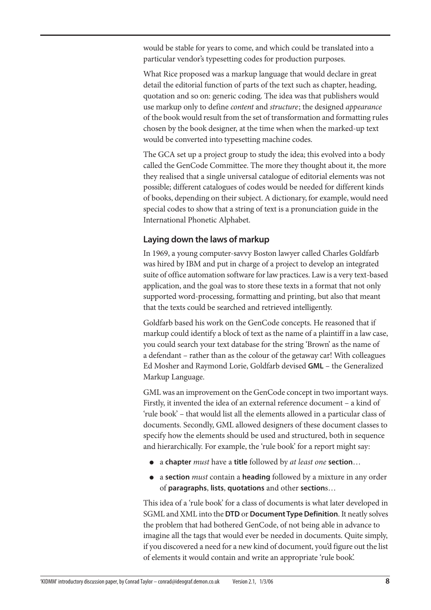would be stable for years to come, and which could be translated into a particular vendor's typesetting codes for production purposes.

What Rice proposed was a markup language that would declare in great detail the editorial function of parts of the text such as chapter, heading, quotation and so on: generic coding. The idea was that publishers would use markup only to define *content* and *structure*; the designed *appearance* of the book would result from the set of transformation and formatting rules chosen by the book designer, at the time when when the marked-up text would be converted into typesetting machine codes.

<span id="page-7-0"></span>The GCA set up a project group to study the idea; this evolved into a body called the GenCode Committee. The more they thought about it, the more they realised that a single universal catalogue of editorial elements was not possible; different catalogues of codes would be needed for different kinds of books, depending on their subject. A dictionary, for example, would need special codes to show that a string of text is a pronunciation guide in the International Phonetic Alphabet.

## **Laying down the laws of markup**

In 1969, a young computer-savvy Boston lawyer called Charles Goldfarb was hired by IBM and put in charge of a project to develop an integrated suite of office automation software for law practices. Law is a very text-based application, and the goal was to store these texts in a format that not only supported word-processing, formatting and printing, but also that meant that the texts could be searched and retrieved intelligently.

Goldfarb based his work on the GenCode concepts. He reasoned that if markup could identify a block of text as the name of a plaintiff in a law case, you could search your text database for the string 'Brown' as the name of a defendant – rather than as the colour of the getaway car! With colleagues Ed Mosher and Raymond Lorie, Goldfarb devised **GML** – the Generalized Markup Language.

GML was an improvement on the GenCode concept in two important ways. Firstly, it invented the idea of an external reference document – a kind of 'rule book' – that would list all the elements allowed in a particular class of documents. Secondly, GML allowed designers of these document classes to specify how the elements should be used and structured, both in sequence and hierarchically. For example, the 'rule book' for a report might say:

- a **chapter** *must* have a **title** followed by *at least one* **section**…
- a **section** *must* contain a **heading** followed by a mixture in any order of **paragraphs**, **lists**, **quotations** and other **section**s…

This idea of a 'rule book' for a class of documents is what later developed in SGML and XML into the **DTD** or **Document Type Definition**. It neatly solves the problem that had bothered GenCode, of not being able in advance to imagine all the tags that would ever be needed in documents. Quite simply, if you discovered a need for a new kind of document, you'd figure out the list of elements it would contain and write an appropriate 'rule book'.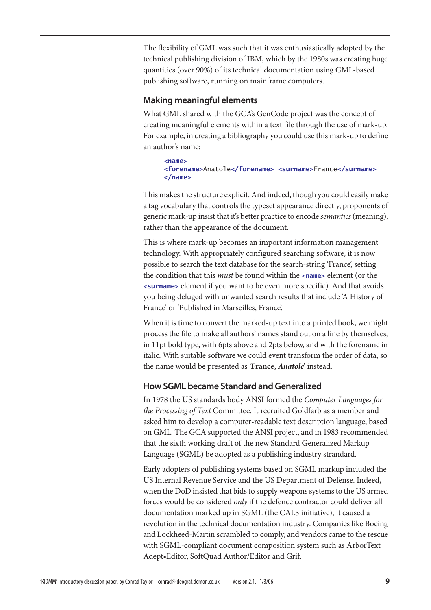The flexibility of GML was such that it was enthusiastically adopted by the technical publishing division of IBM, which by the 1980s was creating huge quantities (over 90%) of its technical documentation using GML-based publishing software, running on mainframe computers.

#### **Making meaningful elements**

What GML shared with the GCA's GenCode project was the concept of creating meaningful elements within a text file through the use of mark-up. For example, in creating a bibliography you could use this mark-up to define an author's name:

**<name> <forename>**Anatole**</forename> <surname>**France**</surname> </name>**

This makes the structure explicit. And indeed, though you could easily make a tag vocabulary that controls the typeset appearance directly, proponents of generic mark-up insist that it's better practice to encode *semantics* (meaning), rather than the appearance of the document.

This is where mark-up becomes an important information management technology. With appropriately configured searching software, it is now possible to search the text database for the search-string 'France', setting the condition that this *must* be found within the **<name>** element (or the **<surname>** element if you want to be even more specific). And that avoids you being deluged with unwanted search results that include 'A History of France' or 'Published in Marseilles, France'.

When it is time to convert the marked-up text into a printed book, we might process the file to make all authors' names stand out on a line by themselves, in 11pt bold type, with 6pts above and 2pts below, and with the forename in italic. With suitable software we could event transform the order of data, so the name would be presented as '**France,** *Anatole*' instead.

### **How SGML became Standard and Generalized**

In 1978 the US standards body ANSI formed the *Computer Languages for the Processing of Text* Committee*.* It recruited Goldfarb as a member and asked him to develop a computer-readable text description language, based on GML. The GCA supported the ANSI project, and in 1983 recommended that the sixth working draft of the new Standard Generalized Markup Language (SGML) be adopted as a publishing industry strandard.

Early adopters of publishing systems based on SGML markup included the US Internal Revenue Service and the US Department of Defense. Indeed, when the DoD insisted that bids to supply weapons systems to the US armed forces would be considered *only* if the defence contractor could deliver all documentation marked up in SGML (the CALS initiative), it caused a revolution in the technical documentation industry. Companies like Boeing and Lockheed-Martin scrambled to comply, and vendors came to the rescue with SGML-compliant document composition system such as ArborText Adept•Editor, SoftQuad Author/Editor and Grif.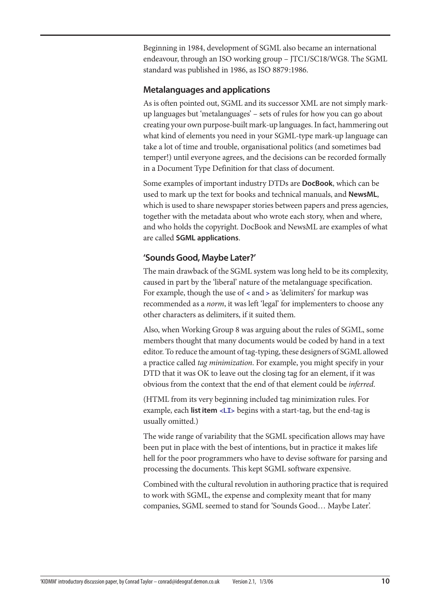Beginning in 1984, development of SGML also became an international endeavour, through an ISO working group – JTC1/SC18/WG8. The SGML standard was published in 1986, as ISO 8879:1986.

#### **Metalanguages and applications**

As is often pointed out, SGML and its successor XML are not simply markup languages but 'metalanguages' – sets of rules for how you can go about creating your own purpose-built mark-up languages. In fact, hammering out what kind of elements you need in your SGML-type mark-up language can take a lot of time and trouble, organisational politics (and sometimes bad temper!) until everyone agrees, and the decisions can be recorded formally in a Document Type Definition for that class of document.

Some examples of important industry DTDs are **DocBook**, which can be used to mark up the text for books and technical manuals, and **NewsML**, which is used to share newspaper stories between papers and press agencies, together with the metadata about who wrote each story, when and where, and who holds the copyright. DocBook and NewsML are examples of what are called **SGML applications**.

### **'Sounds Good, Maybe Later?'**

The main drawback of the SGML system was long held to be its complexity, caused in part by the 'liberal' nature of the metalanguage specification. For example, though the use of **<** and **>** as 'delimiters' for markup was recommended as a *norm*, it was left 'legal' for implementers to choose any other characters as delimiters, if it suited them.

Also, when Working Group 8 was arguing about the rules of SGML, some members thought that many documents would be coded by hand in a text editor. To reduce the amount of tag-typing, these designers of SGML allowed a practice called *tag minimization*. For example, you might specify in your DTD that it was OK to leave out the closing tag for an element, if it was obvious from the context that the end of that element could be *inferred*.

(HTML from its very beginning included tag minimization rules. For example, each **list item <LI>** begins with a start-tag, but the end-tag is usually omitted.)

The wide range of variability that the SGML specification allows may have been put in place with the best of intentions, but in practice it makes life hell for the poor programmers who have to devise software for parsing and processing the documents. This kept SGML software expensive.

Combined with the cultural revolution in authoring practice that is required to work with SGML, the expense and complexity meant that for many companies, SGML seemed to stand for 'Sounds Good… Maybe Later'.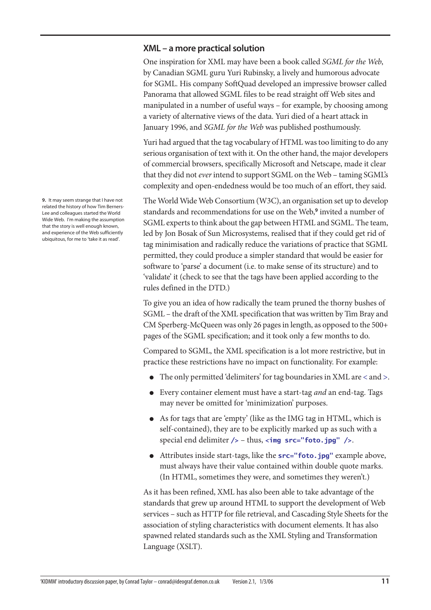#### **XML – a more practical solution**

One inspiration for XML may have been a book called *SGML for the Web*, by Canadian SGML guru Yuri Rubinsky, a lively and humorous advocate for SGML. His company SoftQuad developed an impressive browser called Panorama that allowed SGML files to be read straight off Web sites and manipulated in a number of useful ways – for example, by choosing among a variety of alternative views of the data. Yuri died of a heart attack in January 1996, and *SGML for the Web* was published posthumously.

Yuri had argued that the tag vocabulary of HTML was too limiting to do any serious organisation of text with it. On the other hand, the major developers of commercial browsers, specifically Microsoft and Netscape, made it clear that they did not *ever* intend to support SGML on the Web – taming SGML's complexity and open-endedness would be too much of an effort, they said.

The World Wide Web Consortium (W3C), an organisation set up to develop standards and recommendations for use on the Web,**<sup>9</sup>** invited a number of SGML experts to think about the gap between HTML and SGML. The team, led by Jon Bosak of Sun Microsystems, realised that if they could get rid of tag minimisation and radically reduce the variations of practice that SGML permitted, they could produce a simpler standard that would be easier for software to 'parse' a document (i.e. to make sense of its structure) and to 'validate' it (check to see that the tags have been applied according to the rules defined in the DTD.)

To give you an idea of how radically the team pruned the thorny bushes of SGML – the draft of the XML specification that was written by Tim Bray and CM Sperberg-McQueen was only 26 pages in length, as opposed to the 500+ pages of the SGML specification; and it took only a few months to do.

Compared to SGML, the XML specification is a lot more restrictive, but in practice these restrictions have no impact on functionality. For example:

- The only permitted 'delimiters' for tag boundaries in XML are < and >.
- Every container element must have a start-tag *and* an end-tag. Tags may never be omitted for 'minimization' purposes.
- As for tags that are 'empty' (like as the IMG tag in HTML, which is self-contained), they are to be explicitly marked up as such with a special end delimiter **/>** – thus, **<img src="foto.jpg" />**.
- Attributes inside start-tags, like the **src="foto.jpg"** example above, must always have their value contained within double quote marks. (In HTML, sometimes they were, and sometimes they weren't.)

As it has been refined, XML has also been able to take advantage of the standards that grew up around HTML to support the development of Web services – such as HTTP for file retrieval, and Cascading Style Sheets for the association of styling characteristics with document elements. It has also spawned related standards such as the XML Styling and Transformation Language (XSLT).

**9.** It may seem strange that I have not related the history of how Tim Berners-Lee and colleagues started the World Wide Web. I'm making the assumption that the story is well enough known, and experience of the Web sufficiently ubiquitous, for me to 'take it as read'.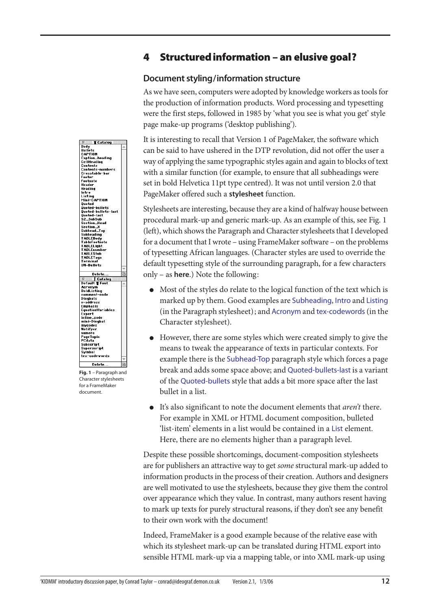# **4 Structured information – an elusive goal?**

#### **Document styling/information structure**

As we have seen, computers were adopted by knowledge workers as tools for the production of information products. Word processing and typesetting were the first steps, followed in 1985 by 'what you see is what you get' style page make-up programs ('desktop publishing').

It is interesting to recall that Version 1 of PageMaker, the software which can be said to have ushered in the DTP revolution, did not offer the user a way of applying the same typographic styles again and again to blocks of text with a similar function (for example, to ensure that all subheadings were set in bold Helvetica 11pt type centred). It was not until version 2.0 that PageMaker offered such a **stylesheet** function.

Stylesheets are interesting, because they are a kind of halfway house between procedural mark-up and generic mark-up. As an example of this, see Fig. 1 (left), which shows the Paragraph and Character stylesheets that I developed for a document that I wrote – using FrameMaker software – on the problems of typesetting African languages. (Character styles are used to override the default typesetting style of the surrounding paragraph, for a few characters only – as **here**.) Note the following:

- Most of the styles do relate to the logical function of the text which is marked up by them. Good examples are Subheading, Intro and Listing (in the Paragraph stylesheet); and Acronym and tex-codewords (in the Character stylesheet).
- However, there are some styles which were created simply to give the means to tweak the appearance of texts in particular contexts. For example there is the Subhead-Top paragraph style which forces a page break and adds some space above; and Quoted-bullets-last is a variant of the Quoted-bullets style that adds a bit more space after the last bullet in a list.
- It's also significant to note the document elements that *aren't* there. For example in XML or HTML document composition, bulleted 'list-item' elements in a list would be contained in a List element. Here, there are no elements higher than a paragraph level.

Despite these possible shortcomings, document-composition stylesheets are for publishers an attractive way to get *some* structural mark-up added to information products in the process of their creation. Authors and designers are well motivated to use the stylesheets, because they give them the control over appearance which they value. In contrast, many authors resent having to mark up texts for purely structural reasons, if they don't see any benefit to their own work with the document!

Indeed, FrameMaker is a good example because of the relative ease with which its stylesheet mark-up can be translated during HTML export into sensible HTML mark-up via a mapping table, or into XML mark-up using

**T** Catalog **The Catalogy Catalogy Catalogy Catalogy Caption Leading Capter School Catalogy Catalogy Catalogy Catalogy Capter School Catalogy Capter School Capter School Capter School Capter School Capter School Capter School Capter S** Heading<br>Intro<br>Listing<br>Quoted<br>Quoted-bullets<br>Quoted-bullets-last<br>Quoted-last<br>S2-SubSub<br>S2-SubSub<br>S2-SubSub say<br>Saman<br>Section Head<br>Section Head<br>Subhead Top<br>Subhead<br>Table<br>Top Table<br>Top Table<br>Table<br>Table<br>Table<br>Table<br>Table<br>Table<br>Table<br>Table<br>Table<br>Table<br>Table<br>Table<br>Table<br>Table<br>Table<br>Table<br>Table<br>Table<br>Table<br>Table<br>Table<br>Table<br>Table<br>Ta Delete Fight f Catalog<br>Default **T** Font Default TFont<br>Acronym<br>BoldListing<br>comment-code<br>hindbats BoldListing<br>
GoldListing<br>
Comment-code<br>
Emphasis<br>
Emphasis<br>
Emphasis<br>
Expert<br>
Expert<br>
Inlin-Code<br>
mini-Dingbat<br>
Motifyer<br>
Natifyer<br>
PageTopic<br>
PadeTopic<br>
Subscript<br>
Subscript<br>
Subscript<br>
Subscript<br>
Tadata PCdata<br>Subscript<br>Superscript<br>Symbol<br>tex-codewords Delete.

**Fig. 1** – Paragraph and Character stylesheets for a FrameMaker document.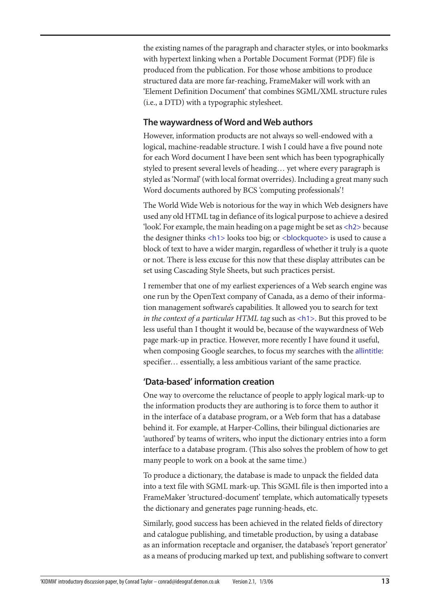the existing names of the paragraph and character styles, or into bookmarks with hypertext linking when a Portable Document Format (PDF) file is produced from the publication. For those whose ambitions to produce structured data are more far-reaching, FrameMaker will work with an 'Element Definition Document' that combines SGML/XML structure rules (i.e., a DTD) with a typographic stylesheet.

## <span id="page-12-0"></span>**The waywardness of Word and Web authors**

However, information products are not always so well-endowed with a logical, machine-readable structure. I wish I could have a five pound note for each Word document I have been sent which has been typographically styled to present several levels of heading… yet where every paragraph is styled as 'Normal' (with local format overrides). Including a great many such Word documents authored by BCS 'computing professionals'!

The World Wide Web is notorious for the way in which Web designers have used any old HTML tag in defiance of its logical purpose to achieve a desired 'look'. For example, the main heading on a page might be set as <h2> because the designer thinks <h1> looks too big; or <br/> <br/>blockquote> is used to cause a block of text to have a wider margin, regardless of whether it truly is a quote or not. There is less excuse for this now that these display attributes can be set using Cascading Style Sheets, but such practices persist.

I remember that one of my earliest experiences of a Web search engine was one run by the OpenText company of Canada, as a demo of their information management software's capabilities. It allowed you to search for text *in the context of a particular HTML tag* such as <h1>. But this proved to be less useful than I thought it would be, because of the waywardness of Web page mark-up in practice. However, more recently I have found it useful, when composing Google searches, to focus my searches with the allintitle: specifier… essentially, a less ambitious variant of the same practice.

## **'Data-based' information creation**

One way to overcome the reluctance of people to apply logical mark-up to the information products they are authoring is to force them to author it in the interface of a database program, or a Web form that has a database behind it. For example, at Harper-Collins, their bilingual dictionaries are 'authored' by teams of writers, who input the dictionary entries into a form interface to a database program. (This also solves the problem of how to get many people to work on a book at the same time.)

To produce a dictionary, the database is made to unpack the fielded data into a text file with SGML mark-up. This SGML file is then imported into a FrameMaker 'structured-document' template, which automatically typesets the dictionary and generates page running-heads, etc.

Similarly, good success has been achieved in the related fields of directory and catalogue publishing, and timetable production, by using a database as an information receptacle and organiser, the database's 'report generator' as a means of producing marked up text, and publishing software to convert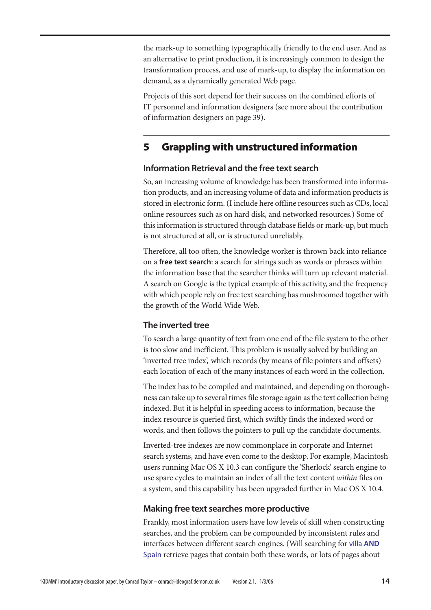the mark-up to something typographically friendly to the end user. And as an alternative to print production, it is increasingly common to design the transformation process, and use of mark-up, to display the information on demand, as a dynamically generated Web page.

Projects of this sort depend for their success on the combined efforts of IT personnel and information designers (see more about the contribution of information designers on page 39).

# **5 Grappling with unstructured information**

## **Information Retrieval and the free text search**

So, an increasing volume of knowledge has been transformed into information products, and an increasing volume of data and information products is stored in electronic form. (I include here offline resources such as CDs, local online resources such as on hard disk, and networked resources.) Some of this information is structured through database fields or mark-up, but much is not structured at all, or is structured unreliably.

Therefore, all too often, the knowledge worker is thrown back into reliance on a **free text search**: a search for strings such as words or phrases within the information base that the searcher thinks will turn up relevant material. A search on Google is the typical example of this activity, and the frequency with which people rely on free text searching has mushroomed together with the growth of the World Wide Web.

# **The inverted tree**

To search a large quantity of text from one end of the file system to the other is too slow and inefficient. This problem is usually solved by building an 'inverted tree index', which records (by means of file pointers and offsets) each location of each of the many instances of each word in the collection.

The index has to be compiled and maintained, and depending on thoroughness can take up to several times file storage again as the text collection being indexed. But it is helpful in speeding access to information, because the index resource is queried first, which swiftly finds the indexed word or words, and then follows the pointers to pull up the candidate documents.

Inverted-tree indexes are now commonplace in corporate and Internet search systems, and have even come to the desktop. For example, Macintosh users running Mac OS X 10.3 can configure the 'Sherlock' search engine to use spare cycles to maintain an index of all the text content *within* files on a system, and this capability has been upgraded further in Mac OS X 10.4.

## **Making free text searches more productive**

Frankly, most information users have low levels of skill when constructing searches, and the problem can be compounded by inconsistent rules and interfaces between different search engines. (Will searching for villa **AND** Spain retrieve pages that contain both these words, or lots of pages about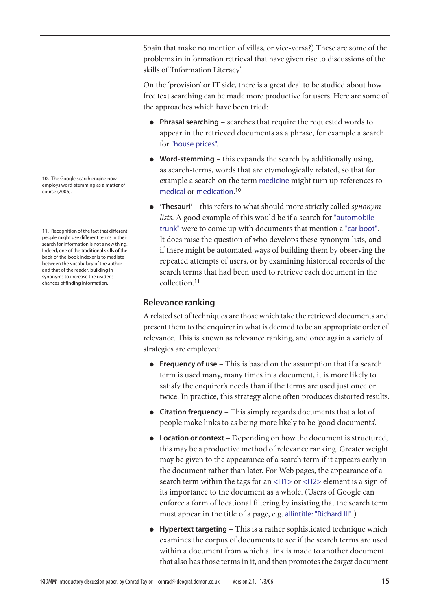Spain that make no mention of villas, or vice-versa?) These are some of the problems in information retrieval that have given rise to discussions of the skills of 'Information Literacy'.

On the 'provision' or IT side, there is a great deal to be studied about how free text searching can be made more productive for users. Here are some of the approaches which have been tried:

- **Phrasal searching** searches that require the requested words to appear in the retrieved documents as a phrase, for example a search for "house prices".
- **Word-stemming** this expands the search by additionally using, as search-terms, words that are etymologically related, so that for example a search on the term medicine might turn up references to medical or medication. **10**
- **'Thesauri'**  this refers to what should more strictly called *synonym lists*. A good example of this would be if a search for "automobile trunk" were to come up with documents that mention a "car boot". It does raise the question of who develops these synonym lists, and if there might be automated ways of building them by observing the repeated attempts of users, or by examining historical records of the search terms that had been used to retrieve each document in the collection.**<sup>11</sup>**

#### **Relevance ranking**

A related set of techniques are those which take the retrieved documents and present them to the enquirer in what is deemed to be an appropriate order of relevance. This is known as relevance ranking, and once again a variety of strategies are employed:

- **Frequency of use** This is based on the assumption that if a search term is used many, many times in a document, it is more likely to satisfy the enquirer's needs than if the terms are used just once or twice. In practice, this strategy alone often produces distorted results.
- **Citation frequency** This simply regards documents that a lot of people make links to as being more likely to be 'good documents'.
- **Location or context** Depending on how the document is structured, this may be a productive method of relevance ranking. Greater weight may be given to the appearance of a search term if it appears early in the document rather than later. For Web pages, the appearance of a search term within the tags for an <H1> or <H2> element is a sign of its importance to the document as a whole. (Users of Google can enforce a form of locational filtering by insisting that the search term must appear in the title of a page, e.g. allintitle: "Richard III".)
- **Hypertext targeting** This is a rather sophisticated technique which examines the corpus of documents to see if the search terms are used within a document from which a link is made to another document that also has those terms in it, and then promotes the *target* document

**10.** The Google search engine now employs word-stemming as a matter of course (2006).

**11.** Recognition of the fact that different people might use different terms in their search for information is not a new thing. Indeed, one of the traditional skills of the back-of-the-book indexer is to mediate between the vocabulary of the author and that of the reader, building in synonyms to increase the reader's chances of finding information.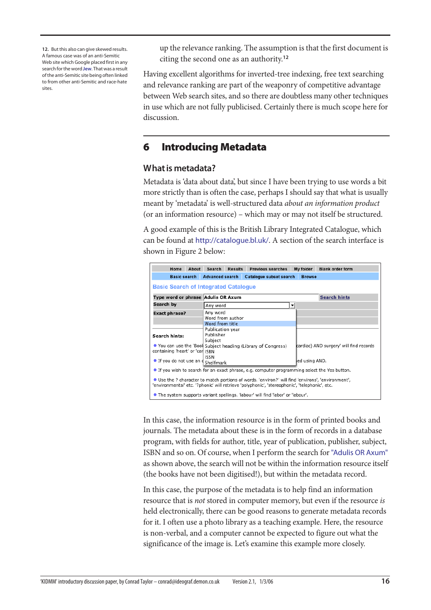**12.** But this also can give skewed results. A famous case was of an anti-Semitic Web site which Google placed first in any search forthe word **Jew**. That was a result ofthe anti-Semitic site being often linked to from other anti-Semitic and race-hate sites.

up the relevance ranking. The assumption is that the first document is citing the second one as an authority.**<sup>12</sup>**

Having excellent algorithms for inverted-tree indexing, free text searching and relevance ranking are part of the weaponry of competitive advantage between Web search sites, and so there are doubtless many other techniques in use which are not fully publicised. Certainly there is much scope here for discussion.

# **6 Introducing Metadata**

#### **What is metadata?**

Metadata is 'data about data', but since I have been trying to use words a bit more strictly than is often the case, perhaps I should say that what is usually meant by 'metadata' is well-structured data *about an information product* (or an information resource) – which may or may not itself be structured.

A good example of this is the British Library Integrated Catalogue, which can be found at http://catalogue.bl.uk/. A section of the search interface is shown in Figure 2 below:

| Home<br>About                                                                                                                                                                                      | Search Results<br><b>Previous searches</b>                    | My folder<br><b>Blank order form</b>    |  |  |  |
|----------------------------------------------------------------------------------------------------------------------------------------------------------------------------------------------------|---------------------------------------------------------------|-----------------------------------------|--|--|--|
| <b>Basic search</b>                                                                                                                                                                                | <b>Advanced search</b><br>Catalogue subset search             | <b>Browse</b>                           |  |  |  |
| <b>Basic Search of Integrated Catalogue</b>                                                                                                                                                        |                                                               |                                         |  |  |  |
| Type word or phrase Adulis OR Axum                                                                                                                                                                 |                                                               | <b>Search hints</b>                     |  |  |  |
| Search by                                                                                                                                                                                          | ▾<br>Any word                                                 |                                         |  |  |  |
| <b>Exact phrase?</b>                                                                                                                                                                               | Any word<br>Word from author<br>Word from title               |                                         |  |  |  |
| Search hints:                                                                                                                                                                                      | Publication year<br>Publisher<br>Subject                      |                                         |  |  |  |
| containing 'heart' or 'car ISBN                                                                                                                                                                    | . You can use the 'Bool Subject heading (Library of Congress) | cardiac) AND surgery' will find records |  |  |  |
| If you do not use an I Shelfmark                                                                                                                                                                   | <b>ISSN</b>                                                   | ed using AND.                           |  |  |  |
| • If you wish to search for an exact phrase, e.g. computer programming select the Yes button.                                                                                                      |                                                               |                                         |  |  |  |
| • Use the ? character to match portions of words. 'environ?' will find 'environs', 'environment',<br>'environmental' etc. '?phonic' will retrieve 'polyphonic', 'stereophonic', 'telephonic', etc. |                                                               |                                         |  |  |  |
| . The system supports variant spellings. 'labour' will find 'labor' or 'labour'.                                                                                                                   |                                                               |                                         |  |  |  |

In this case, the information resource is in the form of printed books and journals. The metadata about these is in the form of records in a database program, with fields for author, title, year of publication, publisher, subject, ISBN and so on. Of course, when I perform the search for "Adulis OR Axum" as shown above, the search will not be within the information resource itself (the books have not been digitised!), but within the metadata record.

In this case, the purpose of the metadata is to help find an information resource that is *not* stored in computer memory, but even if the resource *is* held electronically, there can be good reasons to generate metadata records for it. I often use a photo library as a teaching example. Here, the resource is non-verbal, and a computer cannot be expected to figure out what the significance of the image is. Let's examine this example more closely.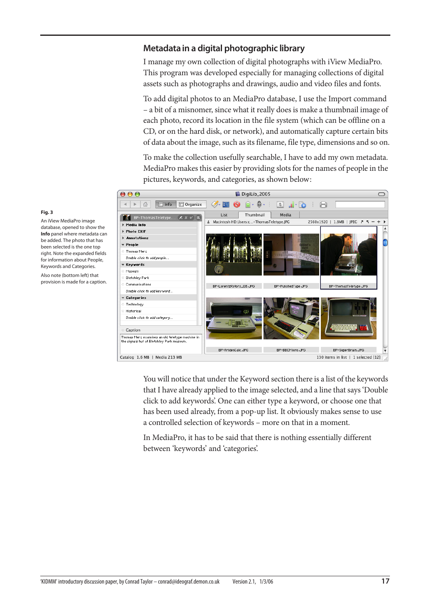## **Metadata in a digital photographic library**

I manage my own collection of digital photographs with iView MediaPro. This program was developed especially for managing collections of digital assets such as photographs and drawings, audio and video files and fonts.

To add digital photos to an MediaPro database, I use the Import command – a bit of a misnomer, since what it really does is make a thumbnail image of each photo, record its location in the file system (which can be offline on a CD, or on the hard disk, or network), and automatically capture certain bits of data about the image, such as its filename, file type, dimensions and so on.

To make the collection usefully searchable, I have to add my own metadata. MediaPro makes this easier by providing slots for the names of people in the pictures, keywords, and categories, as shown below:



You will notice that under the Keyword section there is a list of the keywords that I have already applied to the image selected, and a line that says 'Double click to add keywords'. One can either type a keyword, or choose one that has been used already, from a pop-up list. It obviously makes sense to use a controlled selection of keywords – more on that in a moment.

In MediaPro, it has to be said that there is nothing essentially different between 'keywords' and 'categories'.

#### **Fig. 3**

An iView MediaPro image database, opened to show the **Info** panel where metadata can be added. The photo that has been selected is the one top right. Note the expanded fields for information about People, Keywords and Categories.

Also note (bottom left) that provision is made for a caption.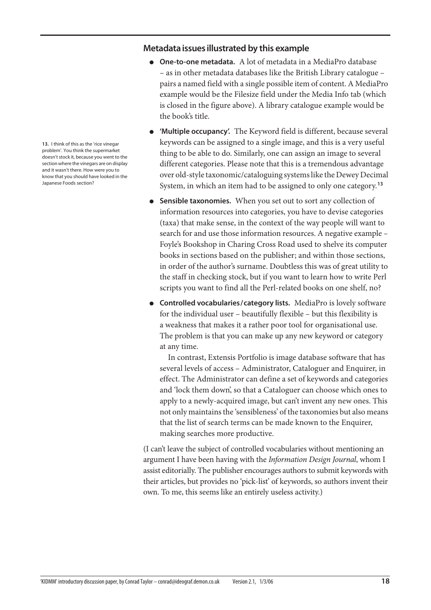**13.** I think of this as the 'rice vinegar problem'. You think the supermarket doesn't stock it, because you went to the section where the vinegars are on display and it wasn't there. How were you to know that you should have looked in the Japanese Foods section?

#### **Metadata issues illustrated by this example**

- **One-to-one metadata.** A lot of metadata in a MediaPro database – as in other metadata databases like the British Library catalogue – pairs a named field with a single possible item of content. A MediaPro example would be the Filesize field under the Media Info tab (which is closed in the figure above). A library catalogue example would be the book's title.
- 'Multiple occupancy'. The Keyword field is different, because several keywords can be assigned to a single image, and this is a very useful thing to be able to do. Similarly, one can assign an image to several different categories. Please note that this is a tremendous advantage over old-style taxonomic/cataloguing systems like the Dewey Decimal System, in which an item had to be assigned to only one category.**<sup>13</sup>**
- **Sensible taxonomies.** When you set out to sort any collection of information resources into categories, you have to devise categories (taxa) that make sense, in the context of the way people will want to search for and use those information resources. A negative example – Foyle's Bookshop in Charing Cross Road used to shelve its computer books in sections based on the publisher; and within those sections, in order of the author's surname. Doubtless this was of great utility to the staff in checking stock, but if you want to learn how to write Perl scripts you want to find all the Perl-related books on one shelf, no?
- **Controlled vocabularies/category lists.** MediaPro is lovely software for the individual user – beautifully flexible – but this flexibility is a weakness that makes it a rather poor tool for organisational use. The problem is that you can make up any new keyword or category at any time.

In contrast, Extensis Portfolio is image database software that has several levels of access – Administrator, Cataloguer and Enquirer, in effect. The Administrator can define a set of keywords and categories and 'lock them down', so that a Cataloguer can choose which ones to apply to a newly-acquired image, but can't invent any new ones. This not only maintains the 'sensibleness' of the taxonomies but also means that the list of search terms can be made known to the Enquirer, making searches more productive.

(I can't leave the subject of controlled vocabularies without mentioning an argument I have been having with the *Information Design Journal*, whom I assist editorially. The publisher encourages authors to submit keywords with their articles, but provides no 'pick-list' of keywords, so authors invent their own. To me, this seems like an entirely useless activity.)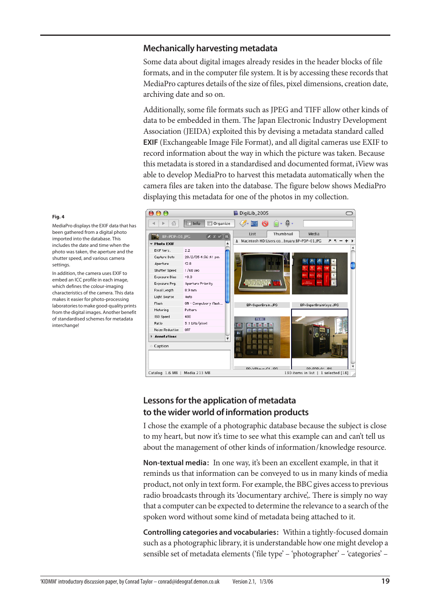#### **Mechanically harvesting metadata**

Some data about digital images already resides in the header blocks of file formats, and in the computer file system. It is by accessing these records that MediaPro captures details of the size of files, pixel dimensions, creation date, archiving date and so on.

Additionally, some file formats such as JPEG and TIFF allow other kinds of data to be embedded in them. The Japan Electronic Industry Development Association (JEIDA) exploited this by devising a metadata standard called **EXIF** (Exchangeable Image File Format), and all digital cameras use EXIF to record information about the way in which the picture was taken. Because this metadata is stored in a standardised and documented format, iView was able to develop MediaPro to harvest this metadata automatically when the camera files are taken into the database. The figure below shows MediaPro displaying this metadata for one of the photos in my collection.



## **Lessons for the application of metadata to the wider world of information products**

I chose the example of a photographic database because the subject is close to my heart, but now it's time to see what this example can and can't tell us about the management of other kinds of information/knowledge resource.

**Non-textual media:** In one way, it's been an excellent example, in that it reminds us that information can be conveyed to us in many kinds of media product, not only in text form. For example, the BBC gives access to previous radio broadcasts through its 'documentary archive',. There is simply no way that a computer can be expected to determine the relevance to a search of the spoken word without some kind of metadata being attached to it.

**Controlling categories and vocabularies:** Within a tightly-focused domain such as a photographic library, it is understandable how one might develop a sensible set of metadata elements ('file type' – 'photographer' – 'categories' –

#### **Fig. 4**

MediaPro displaysthe EXIF data that has been gathered from a digital photo imported into the database. This includes the date and time when the photo was taken, the aperture and the shutter speed, and various camera settings.

In addition, the camera uses EXIF to embed an ICC profile in each image, which defines the colour-imaging characteristics of the camera. This data makes it easier for photo-processing laboratories to make good-quality prints from the digital images. Another benefit of standardised schemes for metadata interchange!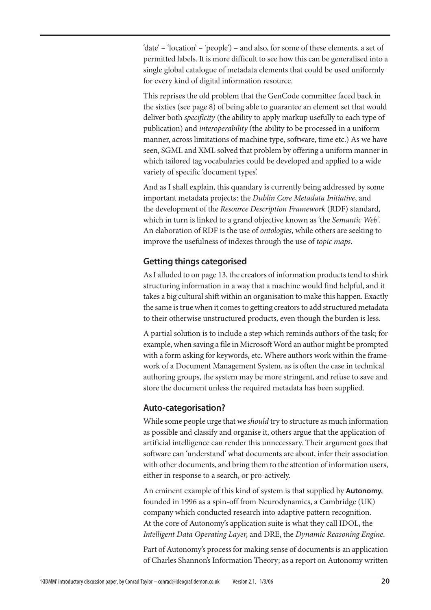'date' – 'location' – 'people') – and also, for some of these elements, a set of permitted labels. It is more difficult to see how this can be generalised into a single global catalogue of metadata elements that could be used uniformly for every kind of digital information resource.

This reprises the old problem that the GenCode committee faced back in the sixties (see [page 8\)](#page-7-0) of being able to guarantee an element set that would deliver both *specificity* (the ability to apply markup usefully to each type of publication) and *interoperability* (the ability to be processed in a uniform manner, across limitations of machine type, software, time etc.) As we have seen, SGML and XML solved that problem by offering a uniform manner in which tailored tag vocabularies could be developed and applied to a wide variety of specific 'document types'.

And as I shall explain, this quandary is currently being addressed by some important metadata projects: the *Dublin Core Metadata Initiative*, and the development of the *Resource Description Framework* (RDF) standard, which in turn is linked to a grand objective known as 'the *Semantic Web*'. An elaboration of RDF is the use of *ontologies*, while others are seeking to improve the usefulness of indexes through the use of *topic maps*.

### **Getting things categorised**

As I alluded to on [page 13,](#page-12-0) the creators of information products tend to shirk structuring information in a way that a machine would find helpful, and it takes a big cultural shift within an organisation to make this happen. Exactly the same is true when it comes to getting creators to add structured metadata to their otherwise unstructured products, even though the burden is less.

A partial solution is to include a step which reminds authors of the task; for example, when saving a file in Microsoft Word an author might be prompted with a form asking for keywords, etc. Where authors work within the framework of a Document Management System, as is often the case in technical authoring groups, the system may be more stringent, and refuse to save and store the document unless the required metadata has been supplied.

#### **Auto-categorisation?**

While some people urge that we *should* try to structure as much information as possible and classify and organise it, others argue that the application of artificial intelligence can render this unnecessary. Their argument goes that software can 'understand' what documents are about, infer their association with other documents, and bring them to the attention of information users, either in response to a search, or pro-actively.

An eminent example of this kind of system is that supplied by **Autonomy**, founded in 1996 as a spin-off from Neurodynamics, a Cambridge (UK) company which conducted research into adaptive pattern recognition. At the core of Autonomy's application suite is what they call IDOL, the *Intelligent Data Operating Layer*, and DRE, the *Dynamic Reasoning Engine*.

Part of Autonomy's process for making sense of documents is an application of Charles Shannon's Information Theory; as a report on Autonomy written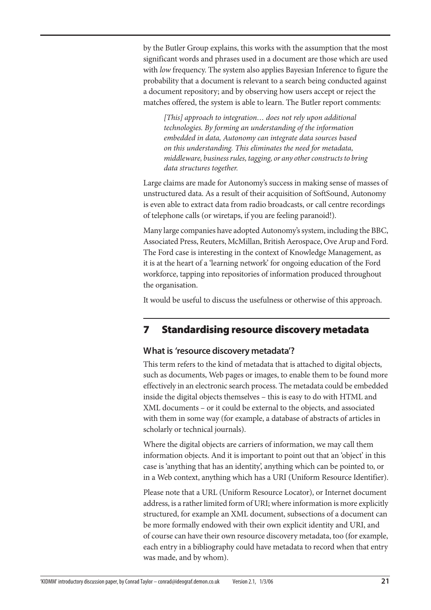by the Butler Group explains, this works with the assumption that the most significant words and phrases used in a document are those which are used with *low* frequency. The system also applies Bayesian Inference to figure the probability that a document is relevant to a search being conducted against a document repository; and by observing how users accept or reject the matches offered, the system is able to learn. The Butler report comments:

*[This] approach to integration… does not rely upon additional technologies. By forming an understanding of the information embedded in data, Autonomy can integrate data sources based on this understanding. This eliminates the need for metadata, middleware, business rules, tagging, or any other constructs to bring data structures together.*

Large claims are made for Autonomy's success in making sense of masses of unstructured data. As a result of their acquisition of SoftSound, Autonomy is even able to extract data from radio broadcasts, or call centre recordings of telephone calls (or wiretaps, if you are feeling paranoid!).

Many large companies have adopted Autonomy's system, including the BBC, Associated Press, Reuters, McMillan, British Aerospace, Ove Arup and Ford. The Ford case is interesting in the context of Knowledge Management, as it is at the heart of a 'learning network' for ongoing education of the Ford workforce, tapping into repositories of information produced throughout the organisation.

It would be useful to discuss the usefulness or otherwise of this approach.

# **7 Standardising resource discovery metadata**

### **What is 'resource discovery metadata'?**

This term refers to the kind of metadata that is attached to digital objects, such as documents, Web pages or images, to enable them to be found more effectively in an electronic search process. The metadata could be embedded inside the digital objects themselves – this is easy to do with HTML and XML documents – or it could be external to the objects, and associated with them in some way (for example, a database of abstracts of articles in scholarly or technical journals).

Where the digital objects are carriers of information, we may call them information objects. And it is important to point out that an 'object' in this case is 'anything that has an identity', anything which can be pointed to, or in a Web context, anything which has a URI (Uniform Resource Identifier).

Please note that a URL (Uniform Resource Locator), or Internet document address, is a rather limited form of URI; where information is more explicitly structured, for example an XML document, subsections of a document can be more formally endowed with their own explicit identity and URI, and of course can have their own resource discovery metadata, too (for example, each entry in a bibliography could have metadata to record when that entry was made, and by whom).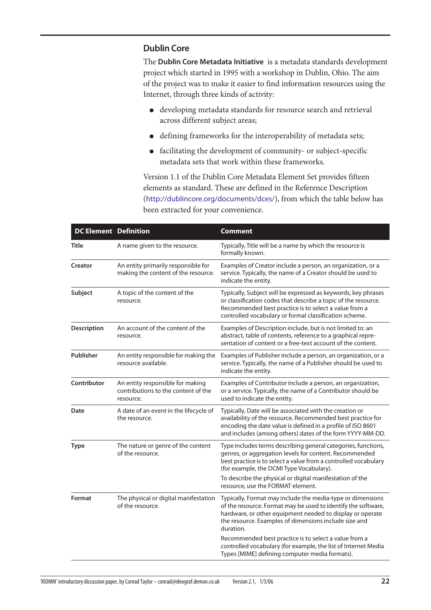#### <span id="page-21-0"></span>**Dublin Core**

The **Dublin Core Metadata Initiative** is a metadata standards development project which started in 1995 with a workshop in Dublin, Ohio. The aim of the project was to make it easier to find information resources using the Internet, through three kinds of activity:

- developing metadata standards for resource search and retrieval across different subject areas;
- defining frameworks for the interoperability of metadata sets;
- facilitating the development of community- or subject-specific metadata sets that work within these frameworks.

Version 1.1 of the Dublin Core Metadata Element Set provides fifteen elements as standard. These are defined in the Reference Description (http://dublincore.org/documents/dces/), from which the table below has been extracted for your convenience.

| <b>DC Element Definition</b> |                                                                                      | <b>Comment</b>                                                                                                                                                                                                                                                 |
|------------------------------|--------------------------------------------------------------------------------------|----------------------------------------------------------------------------------------------------------------------------------------------------------------------------------------------------------------------------------------------------------------|
| Title                        | A name given to the resource.                                                        | Typically, Title will be a name by which the resource is<br>formally known.                                                                                                                                                                                    |
| Creator                      | An entity primarily responsible for<br>making the content of the resource.           | Examples of Creator include a person, an organization, or a<br>service. Typically, the name of a Creator should be used to<br>indicate the entity.                                                                                                             |
| Subject                      | A topic of the content of the<br>resource.                                           | Typically, Subject will be expressed as keywords, key phrases<br>or classification codes that describe a topic of the resource.<br>Recommended best practice is to select a value from a<br>controlled vocabulary or formal classification scheme.             |
| Description                  | An account of the content of the<br>resource.                                        | Examples of Description include, but is not limited to: an<br>abstract, table of contents, reference to a graphical repre-<br>sentation of content or a free-text account of the content.                                                                      |
| Publisher                    | An entity responsible for making the<br>resource available.                          | Examples of Publisher include a person, an organization, or a<br>service. Typically, the name of a Publisher should be used to<br>indicate the entity.                                                                                                         |
| Contributor                  | An entity responsible for making<br>contributions to the content of the<br>resource. | Examples of Contributor include a person, an organization,<br>or a service. Typically, the name of a Contributor should be<br>used to indicate the entity.                                                                                                     |
| Date                         | A date of an event in the lifecycle of<br>the resource.                              | Typically, Date will be associated with the creation or<br>availability of the resource. Recommended best practice for<br>encoding the date value is defined in a profile of ISO 8601<br>and includes (among others) dates of the form YYYY-MM-DD.             |
| <b>Type</b>                  | The nature or genre of the content<br>of the resource.                               | Type includes terms describing general categories, functions,<br>genres, or aggregation levels for content. Recommended<br>best practice is to select a value from a controlled vocabulary<br>(for example, the DCMI Type Vocabulary).                         |
|                              |                                                                                      | To describe the physical or digital manifestation of the<br>resource, use the FORMAT element.                                                                                                                                                                  |
| Format                       | The physical or digital manifestation<br>of the resource.                            | Typically, Format may include the media-type or dimensions<br>of the resource. Format may be used to identify the software,<br>hardware, or other equipment needed to display or operate<br>the resource. Examples of dimensions include size and<br>duration. |
|                              |                                                                                      | Recommended best practice is to select a value from a<br>controlled vocabulary (for example, the list of Internet Media<br>Types [MIME] defining computer media formats).                                                                                      |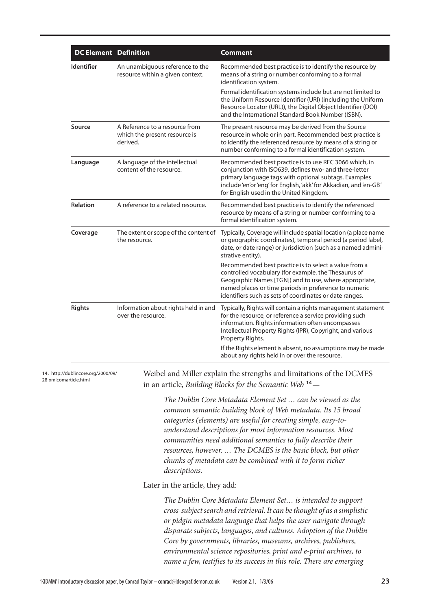|                                                                                         | <b>DC Element Definition</b> |                                                                                                               | <b>Comment</b>                                                                                                                                                                                                                                                                                                                                                                                                                                                                                      |
|-----------------------------------------------------------------------------------------|------------------------------|---------------------------------------------------------------------------------------------------------------|-----------------------------------------------------------------------------------------------------------------------------------------------------------------------------------------------------------------------------------------------------------------------------------------------------------------------------------------------------------------------------------------------------------------------------------------------------------------------------------------------------|
| <b>Identifier</b><br>Source<br>Language<br><b>Relation</b><br>Coverage<br><b>Rights</b> |                              | An unambiguous reference to the<br>resource within a given context.                                           | Recommended best practice is to identify the resource by<br>means of a string or number conforming to a formal<br>identification system.<br>Formal identification systems include but are not limited to<br>the Uniform Resource Identifier (URI) (including the Uniform<br>Resource Locator (URL)), the Digital Object Identifier (DOI)<br>and the International Standard Book Number (ISBN).                                                                                                      |
|                                                                                         |                              | A Reference to a resource from<br>which the present resource is<br>derived.                                   | The present resource may be derived from the Source<br>resource in whole or in part. Recommended best practice is<br>to identify the referenced resource by means of a string or<br>number conforming to a formal identification system.                                                                                                                                                                                                                                                            |
|                                                                                         |                              | A language of the intellectual<br>content of the resource.                                                    | Recommended best practice is to use RFC 3066 which, in<br>conjunction with ISO639, defines two- and three-letter<br>primary language tags with optional subtags. Examples<br>include 'en'or 'eng' for English, 'akk' for Akkadian, and 'en-GB'<br>for English used in the United Kingdom.                                                                                                                                                                                                           |
|                                                                                         |                              | A reference to a related resource.                                                                            | Recommended best practice is to identify the referenced<br>resource by means of a string or number conforming to a<br>formal identification system.                                                                                                                                                                                                                                                                                                                                                 |
|                                                                                         |                              | The extent or scope of the content of<br>the resource.                                                        | Typically, Coverage will include spatial location (a place name<br>or geographic coordinates), temporal period (a period label,<br>date, or date range) or jurisdiction (such as a named admini-<br>strative entity).                                                                                                                                                                                                                                                                               |
|                                                                                         |                              |                                                                                                               | Recommended best practice is to select a value from a<br>controlled vocabulary (for example, the Thesaurus of<br>Geographic Names [TGN]) and to use, where appropriate,<br>named places or time periods in preference to numeric<br>identifiers such as sets of coordinates or date ranges.                                                                                                                                                                                                         |
|                                                                                         |                              | Information about rights held in and<br>over the resource.                                                    | Typically, Rights will contain a rights management statement<br>for the resource, or reference a service providing such<br>information. Rights information often encompasses<br>Intellectual Property Rights (IPR), Copyright, and various<br>Property Rights.                                                                                                                                                                                                                                      |
|                                                                                         |                              | If the Rights element is absent, no assumptions may be made<br>about any rights held in or over the resource. |                                                                                                                                                                                                                                                                                                                                                                                                                                                                                                     |
| 14. http://dublincore.org/2000/09/<br>28-xmlcomarticle.html                             |                              |                                                                                                               | Weibel and Miller explain the strengths and limitations of the DCMES<br>in an article, Building Blocks for the Semantic Web <sup>14</sup> -                                                                                                                                                                                                                                                                                                                                                         |
|                                                                                         |                              | descriptions.                                                                                                 | The Dublin Core Metadata Element Set  can be viewed as the<br>common semantic building block of Web metadata. Its 15 broad<br>categories (elements) are useful for creating simple, easy-to-<br>understand descriptions for most information resources. Most<br>communities need additional semantics to fully describe their<br>resources, however.  The DCMES is the basic block, but other<br>chunks of metadata can be combined with it to form richer                                          |
|                                                                                         |                              | Later in the article, they add:                                                                               |                                                                                                                                                                                                                                                                                                                                                                                                                                                                                                     |
|                                                                                         |                              |                                                                                                               | The Dublin Core Metadata Element Set is intended to support<br>cross-subject search and retrieval. It can be thought of as a simplistic<br>or pidgin metadata language that helps the user navigate through<br>disparate subjects, languages, and cultures. Adoption of the Dublin<br>Core by governments, libraries, museums, archives, publishers,<br>environmental science repositories, print and e-print archives, to<br>name a few, testifies to its success in this role. There are emerging |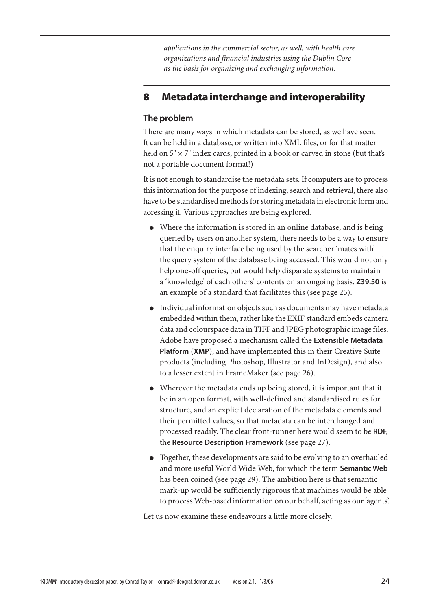*applications in the commercial sector, as well, with health care organizations and financial industries using the Dublin Core as the basis for organizing and exchanging information.*

# **8 Metadata interchange and interoperability**

## **The problem**

There are many ways in which metadata can be stored, as we have seen. It can be held in a database, or written into XML files, or for that matter held on 5" × 7" index cards, printed in a book or carved in stone (but that's not a portable document format!)

It is not enough to standardise the metadata sets. If computers are to process this information for the purpose of indexing, search and retrieval, there also have to be standardised methods for storing metadata in electronic form and accessing it. Various approaches are being explored.

- Where the information is stored in an online database, and is being queried by users on another system, there needs to be a way to ensure that the enquiry interface being used by the searcher 'mates with' the query system of the database being accessed. This would not only help one-off queries, but would help disparate systems to maintain a 'knowledge' of each others' contents on an ongoing basis. **Z39.50** is an example of a standard that facilitates this (see [page 25\)](#page-24-0).
- Individual information objects such as documents may have metadata embedded within them, rather like the EXIF standard embeds camera data and colourspace data in TIFF and JPEG photographic image files. Adobe have proposed a mechanism called the **Extensible Metadata Platform** (**XMP**), and have implemented this in their Creative Suite products (including Photoshop, Illustrator and InDesign), and also to a lesser extent in FrameMaker (see [page 26\)](#page-25-0).
- Wherever the metadata ends up being stored, it is important that it be in an open format, with well-defined and standardised rules for structure, and an explicit declaration of the metadata elements and their permitted values, so that metadata can be interchanged and processed readily. The clear front-runner here would seem to be **RDF**, the **Resource Description Framework** (see [page 27](#page-26-0)).
- Together, these developments are said to be evolving to an overhauled and more useful World Wide Web, for which the term **Semantic Web** has been coined (see [page 29\)](#page-28-0). The ambition here is that semantic mark-up would be sufficiently rigorous that machines would be able to process Web-based information on our behalf, acting as our 'agents'.

Let us now examine these endeavours a little more closely.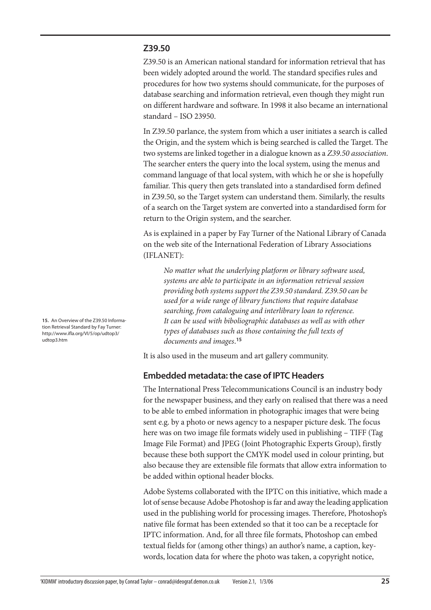#### <span id="page-24-0"></span>**Z39.50**

Z39.50 is an American national standard for information retrieval that has been widely adopted around the world. The standard specifies rules and procedures for how two systems should communicate, for the purposes of database searching and information retrieval, even though they might run on different hardware and software. In 1998 it also became an international standard – ISO 23950.

In Z39.50 parlance, the system from which a user initiates a search is called the Origin, and the system which is being searched is called the Target. The two systems are linked together in a dialogue known as a *Z39.50 association*. The searcher enters the query into the local system, using the menus and command language of that local system, with which he or she is hopefully familiar. This query then gets translated into a standardised form defined in Z39.50, so the Target system can understand them. Similarly, the results of a search on the Target system are converted into a standardised form for return to the Origin system, and the searcher.

As is explained in a paper by Fay Turner of the National Library of Canada on the web site of the International Federation of Library Associations (IFLANET):

*No matter what the underlying platform or library software used, systems are able to participate in an information retrieval session providing both systems support the Z39.50 standard. Z39.50 can be used for a wide range of library functions that require database searching, from cataloguing and interlibrary loan to reference. It can be used with biboliographic databases as well as with other types of databases such as those containing the full texts of documents and images*. **15**

It is also used in the museum and art gallery community.

#### **Embedded metadata: the case of IPTC Headers**

The International Press Telecommunications Council is an industry body for the newspaper business, and they early on realised that there was a need to be able to embed information in photographic images that were being sent e.g. by a photo or news agency to a nespaper picture desk. The focus here was on two image file formats widely used in publishing – TIFF (Tag Image File Format) and JPEG (Joint Photographic Experts Group), firstly because these both support the CMYK model used in colour printing, but also because they are extensible file formats that allow extra information to be added within optional header blocks.

Adobe Systems collaborated with the IPTC on this initiative, which made a lot of sense because Adobe Photoshop is far and away the leading application used in the publishing world for processing images. Therefore, Photoshop's native file format has been extended so that it too can be a receptacle for IPTC information. And, for all three file formats, Photoshop can embed textual fields for (among other things) an author's name, a caption, keywords, location data for where the photo was taken, a copyright notice,

**15.** An Overview of the Z39.50 Information Retrieval Standard by Fay Turner: http://www.ifla.org/VI/5/op/udtop3/ udtop3.htm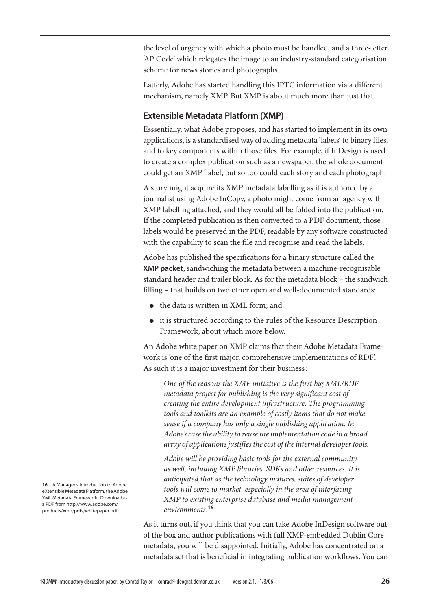the level of urgency with which a photo must be handled, and a three-letter 'AP Code' which relegates the image to an industry-standard categorisation scheme for news stories and photographs.

Latterly, Adobe has started handling this IPTC information via a different mechanism, namely XMP. But XMP is about much more than just that.

## <span id="page-25-0"></span>**Extensible Metadata Platform (XMP)**

Esssentially, what Adobe proposes, and has started to implement in its own applications, is a standardised way of adding metadata 'labels' to binary files, and to key components within those files. For example, if InDesign is used to create a complex publication such as a newspaper, the whole document could get an XMP 'label', but so too could each story and each photograph.

A story might acquire its XMP metadata labelling as it is authored by a journalist using Adobe InCopy, a photo might come from an agency with XMP labelling attached, and they would all be folded into the publication. If the completed publication is then converted to a PDF document, those labels would be preserved in the PDF, readable by any software constructed with the capability to scan the file and recognise and read the labels.

Adobe has published the specifications for a binary structure called the **XMP packet**, sandwiching the metadata between a machine-recognisable standard header and trailer block. As for the metadata block – the sandwich filling – that builds on two other open and well-documented standards:

- the data is written in XML form; and
- it is structured according to the rules of the Resource Description Framework, about which more below.

An Adobe white paper on XMP claims that their Adobe Metadata Framework is 'one of the first major, comprehensive implementations of RDF'. As such it is a major investment for their business:

*One of the reasons the XMP initiative is the first big XML/RDF metadata project for publishing is the very significant cost of creating the entire development infrastructure. The programming tools and toolkits are an example of costly items that do not make sense if a company has only a single publishing application. In Adobe's case the ability to reuse the implementation code in a broad array of applications justifies the cost of the internal developer tools.*

*Adobe will be providing basic tools for the external community as well, including XMP libraries, SDKs and other resources. It is anticipated that as the technology matures, suites of developer tools will come to market, especially in the area of interfacing XMP to existing enterprise database and media management environments*. **16**

As it turns out, if you think that you can take Adobe InDesign software out of the box and author publications with full XMP-embedded Dublin Core metadata, you will be disappointed. Initially, Adobe has concentrated on a metadata set that is beneficial in integrating publication workflows. You can

**16.** 'A Manager's Introduction to Adobe eXtensibleMetadata Platform, the Adobe XML Metadata Framework'. Download as a PDF from http://www.adobe.com/ products/xmp/pdfs/whitepaper.pdf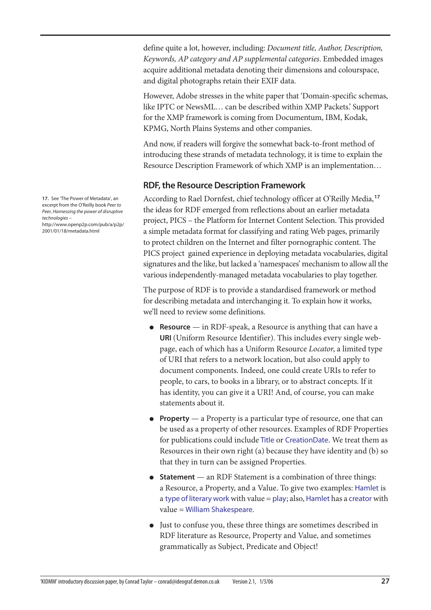define quite a lot, however, including: *Document title, Author, Description, Keywords, AP category and AP supplemental categories*. Embedded images acquire additional metadata denoting their dimensions and colourspace, and digital photographs retain their EXIF data.

However, Adobe stresses in the white paper that 'Domain-specific schemas, like IPTC or NewsML… can be described within XMP Packets.' Support for the XMP framework is coming from Documentum, IBM, Kodak, KPMG, North Plains Systems and other companies.

And now, if readers will forgive the somewhat back-to-front method of introducing these strands of metadata technology, it is time to explain the Resource Description Framework of which XMP is an implementation…

#### <span id="page-26-0"></span>**RDF, the Resource Description Framework**

According to Rael Dornfest, chief technology officer at O'Reilly Media,**<sup>17</sup>** the ideas for RDF emerged from reflections about an earlier metadata project, PICS – the Platform for Internet Content Selection. This provided a simple metadata format for classifying and rating Web pages, primarily to protect children on the Internet and filter pornographic content. The PICS project gained experience in deploying metadata vocabularies, digital signatures and the like, but lacked a 'namespaces' mechanism to allow all the various independently-managed metadata vocabularies to play together.

The purpose of RDF is to provide a standardised framework or method for describing metadata and interchanging it. To explain how it works, we'll need to review some definitions.

- **Resource** in RDF-speak, a Resource is anything that can have a URI (Uniform Resource Identifier). This includes every single webpage, each of which has a Uniform Resource *Locator*, a limited type of URI that refers to a network location, but also could apply to document components. Indeed, one could create URIs to refer to people, to cars, to books in a library, or to abstract concepts. If it has identity, you can give it a URI! And, of course, you can make statements about it.
- **Property** a Property is a particular type of resource, one that can be used as a property of other resources. Examples of RDF Properties for publications could include Title or CreationDate. We treat them as Resources in their own right (a) because they have identity and (b) so that they in turn can be assigned Properties.
- **Statement** an RDF Statement is a combination of three things: a Resource, a Property, and a Value. To give two examples: Hamlet is a type of literary work with value = play; also, Hamlet has a creator with value = William Shakespeare.
- Just to confuse you, these three things are sometimes described in RDF literature as Resource, Property and Value, and sometimes grammatically as Subject, Predicate and Object!

**17.** See 'The Power of Metadata', an excerpt from the O'Reilly book Peer to Peer, Harnessing the power of disruptive technologies –

http://www.openp2p.com/pub/a/p2p/ 2001/01/18/metadata.html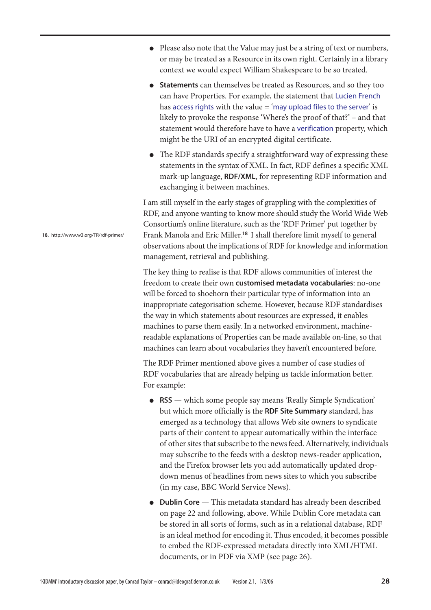- Please also note that the Value may just be a string of text or numbers, or may be treated as a Resource in its own right. Certainly in a library context we would expect William Shakespeare to be so treated.
- **Statements** can themselves be treated as Resources, and so they too can have Properties. For example, the statement that Lucien French has access rights with the value = 'may upload files to the server' is likely to provoke the response 'Where's the proof of that?' – and that statement would therefore have to have a verification property, which might be the URI of an encrypted digital certificate.
- The RDF standards specify a straightforward way of expressing these statements in the syntax of XML. In fact, RDF defines a specific XML mark-up language, **RDF/XML**, for representing RDF information and exchanging it between machines.

I am still myself in the early stages of grappling with the complexities of RDF, and anyone wanting to know more should study the World Wide Web Consortium's online literature, such as the 'RDF Primer' put together by Frank Manola and Eric Miller.**<sup>18</sup>**I shall therefore limit myself to general observations about the implications of RDF for knowledge and information management, retrieval and publishing.

The key thing to realise is that RDF allows communities of interest the freedom to create their own **customised metadata vocabularies**: no-one will be forced to shoehorn their particular type of information into an inappropriate categorisation scheme. However, because RDF standardises the way in which statements about resources are expressed, it enables machines to parse them easily. In a networked environment, machinereadable explanations of Properties can be made available on-line, so that machines can learn about vocabularies they haven't encountered before.

The RDF Primer mentioned above gives a number of case studies of RDF vocabularies that are already helping us tackle information better. For example:

- **RSS** which some people say means 'Really Simple Syndication' but which more officially is the **RDF Site Summary** standard, has emerged as a technology that allows Web site owners to syndicate parts of their content to appear automatically within the interface of other sites that subscribe to the news feed. Alternatively, individuals may subscribe to the feeds with a desktop news-reader application, and the Firefox browser lets you add automatically updated dropdown menus of headlines from news sites to which you subscribe (in my case, BBC World Service News).
- **Dublin Core** This metadata standard has already been described on [page 22](#page-21-0) and following, above. While Dublin Core metadata can be stored in all sorts of forms, such as in a relational database, RDF is an ideal method for encoding it. Thus encoded, it becomes possible to embed the RDF-expressed metadata directly into XML/HTML documents, or in PDF via XMP (see [page 26\)](#page-25-0).

**18.** http://www.w3.org/TR/rdf-primer/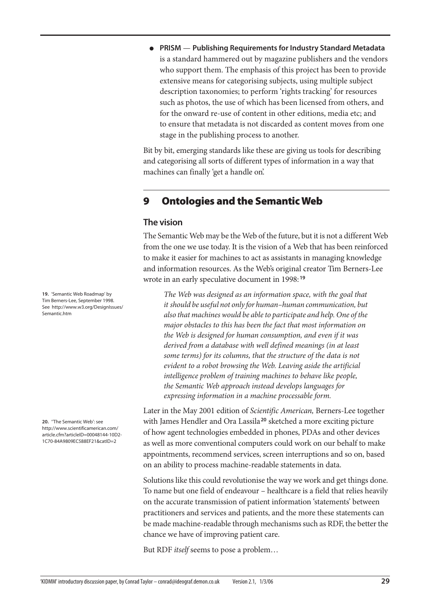● **PRISM** — **Publishing Requirements for Industry Standard Metadata** is a standard hammered out by magazine publishers and the vendors who support them. The emphasis of this project has been to provide extensive means for categorising subjects, using multiple subject description taxonomies; to perform 'rights tracking' for resources such as photos, the use of which has been licensed from others, and for the onward re-use of content in other editions, media etc; and to ensure that metadata is not discarded as content moves from one stage in the publishing process to another.

Bit by bit, emerging standards like these are giving us tools for describing and categorising all sorts of different types of information in a way that machines can finally 'get a handle on'.

# **9 Ontologies and the Semantic Web**

#### <span id="page-28-0"></span>**The vision**

The Semantic Web may be the Web of the future, but it is not a different Web from the one we use today. It is the vision of a Web that has been reinforced to make it easier for machines to act as assistants in managing knowledge and information resources. As the Web's original creator Tim Berners-Lee wrote in an early speculative document in 1998: **<sup>19</sup>**

*The Web was designed as an information space, with the goal that it should be useful not only for human–human communication, but also that machines would be able to participate and help. One of the major obstacles to this has been the fact that most information on the Web is designed for human consumption, and even if it was derived from a database with well defined meanings (in at least some terms) for its columns, that the structure of the data is not evident to a robot browsing the Web. Leaving aside the artificial intelligence problem of training machines to behave like people, the Semantic Web approach instead develops languages for expressing information in a machine processable form.*

Later in the May 2001 edition of *Scientific American,* Berners-Lee together with James Hendler and Ora Lassila**<sup>20</sup>** sketched a more exciting picture of how agent technologies embedded in phones, PDAs and other devices as well as more conventional computers could work on our behalf to make appointments, recommend services, screen interruptions and so on, based on an ability to process machine-readable statements in data.

Solutions like this could revolutionise the way we work and get things done. To name but one field of endeavour – healthcare is a field that relies heavily on the accurate transmission of patient information 'statements' between practitioners and services and patients, and the more these statements can be made machine-readable through mechanisms such as RDF, the better the chance we have of improving patient care.

But RDF *itself* seems to pose a problem…

**19.** 'Semantic Web Roadmap' by Tim Berners-Lee, September 1998. See http://www.w3.org/DesignIssues/ Semantic.htm

**20.** ''The Semantic Web': see http://www.scientificamerican.com/ article.cfm?articleID=00048144-10D2- 1C70-84A9809EC588EF21&catID=2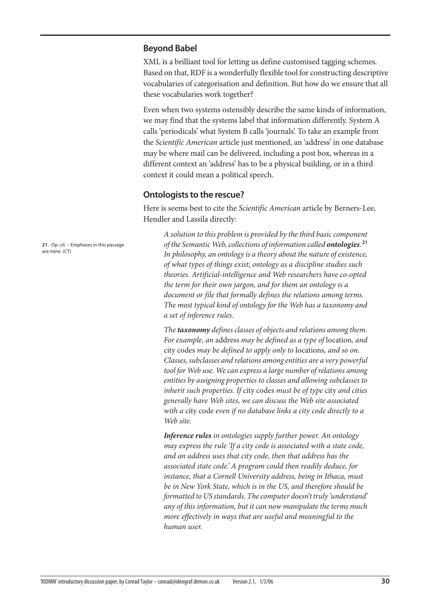#### **Beyond Babel**

XML is a brilliant tool for letting us define customised tagging schemes. Based on that, RDF is a wonderfully flexible tool for constructing descriptive vocabularies of categorisation and definition. But how do we ensure that all these vocabularies work together?

Even when two systems ostensibly describe the same kinds of information, we may find that the systems label that information differently. System A calls 'periodicals' what System B calls 'journals'. To take an example from the *Scientific American* article just mentioned, an 'address' in one database may be where mail can be delivered, including a post box, whereas in a different context an 'address' has to be a physical building, or in a third context it could mean a political speech.

#### **Ontologists to the rescue?**

Here is seems best to cite the *Scientific American* article by Berners-Lee, Hendler and Lassila directly:

*A solution to this problem is provided by the third basic component of the Semantic Web, collections of information called ontologies.* **21** *In philosophy, an ontology is a theory about the nature of existence, of what types of things exist; ontology as a discipline studies such theories. Artificial-intelligence and Web researchers have co-opted the term for their own jargon, and for them an ontology is a document or file that formally defines the relations among terms. The most typical kind of ontology for the Web has a taxonomy and a set of inference rules.*

*The taxonomy defines classes of objects and relations among them. For example, an* address *may be defined as a type of* location*, and*  city codes *may be defined to apply only to* locations*, and so on. Classes, subclasses and relations among entities are a very powerful tool for Web use. We can express a large number of relations among entities by assigning properties to classes and allowing subclasses to inherit such properties. If* city codes *must be of type* city *and cities generally have Web sites, we can discuss the Web site associated with a* city code *even if no database links a city code directly to a Web site.*

*Inference rules in ontologies supply further power. An ontology may express the rule 'If a city code is associated with a state code, and an address uses that city code, then that address has the associated state code.' A program could then readily deduce, for instance, that a Cornell University address, being in Ithaca, must be in New York State, which is in the US, and therefore should be formatted to US standards. The computer doesn't truly 'understand' any of this information, but it can now manipulate the terms much more effectively in ways that are useful and meaningful to the human user.*

**21.** Op. cit. – Emphases in this passage are mine. (CT)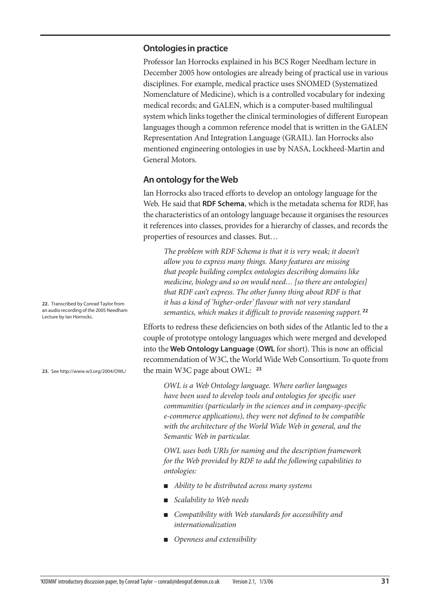#### **Ontologies in practice**

Professor Ian Horrocks explained in his BCS Roger Needham lecture in December 2005 how ontologies are already being of practical use in various disciplines. For example, medical practice uses SNOMED (Systematized Nomenclature of Medicine), which is a controlled vocabulary for indexing medical records; and GALEN, which is a computer-based multilingual system which links together the clinical terminologies of different European languages though a common reference model that is written in the GALEN Representation And Integration Language (GRAIL). Ian Horrocks also mentioned engineering ontologies in use by NASA, Lockheed-Martin and General Motors.

#### **An ontology for the Web**

Ian Horrocks also traced efforts to develop an ontology language for the Web. He said that **RDF Schema**, which is the metadata schema for RDF, has the characteristics of an ontology language because it organises the resources it references into classes, provides for a hierarchy of classes, and records the properties of resources and classes. But…

*The problem with RDF Schema is that it is very weak; it doesn't allow you to express many things. Many features are missing that people building complex ontologies describing domains like medicine, biology and so on would need… [so there are ontologies] that RDF can't express. The other funny thing about RDF is that it has a kind of 'higher-order' flavour with not very standard semantics, which makes it difficult to provide reasoning support.* **<sup>22</sup>**

Efforts to redress these deficiencies on both sides of the Atlantic led to the a couple of prototype ontology languages which were merged and developed into the **Web Ontology Language** (**OWL** for short). This is now an official recommendation of W3C, the World Wide Web Consortium. To quote from the main W3C page about OWL: **<sup>23</sup>**

*OWL is a Web Ontology language. Where earlier languages have been used to develop tools and ontologies for specific user communities (particularly in the sciences and in company-specific e-commerce applications), they were not defined to be compatible with the architecture of the World Wide Web in general, and the Semantic Web in particular.*

*OWL uses both URIs for naming and the description framework for the Web provided by RDF to add the following capabilities to ontologies:*

- *Ability to be distributed across many systems*
- *Scalability to Web needs*
- Compatibility with Web standards for accessibility and *internationalization*
- *Openness and extensibility*

**22.** Transcribed by Conrad Taylor from an audio recording of the 2005 Needham Lecture by Ian Horrocks.

**23.** See http://www.w3.org/2004/OWL/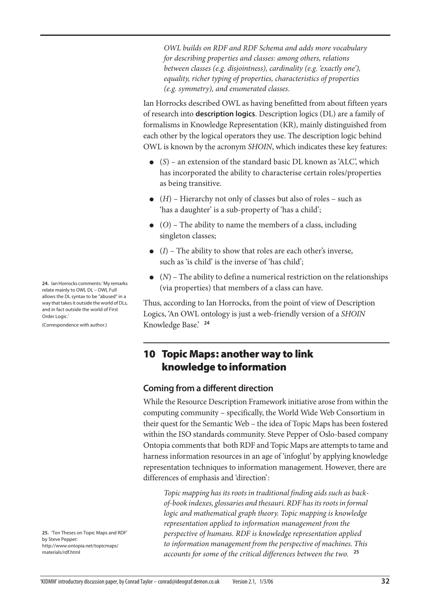*OWL builds on RDF and RDF Schema and adds more vocabulary for describing properties and classes: among others, relations between classes (e.g. disjointness), cardinality (e.g. 'exactly one'), equality, richer typing of properties, characteristics of properties (e.g. symmetry), and enumerated classes.*

Ian Horrocks described OWL as having benefitted from about fifteen years of research into **description logics**. Description logics (DL) are a family of formalisms in Knowledge Representation (KR), mainly distinguished from each other by the logical operators they use. The description logic behind OWL is known by the acronym *SHOIN*, which indicates these key features:

- (*S*) an extension of the standard basic DL known as 'ALC', which has incorporated the ability to characterise certain roles/properties as being transitive.
- (*H*) Hierarchy not only of classes but also of roles such as 'has a daughter' is a sub-property of 'has a child';
- (*O*) The ability to name the members of a class, including singleton classes;
- (*I*) The ability to show that roles are each other's inverse, such as 'is child' is the inverse of 'has child';
- $\bullet$  (*N*) The ability to define a numerical restriction on the relationships (via properties) that members of a class can have.

Thus, according to Ian Horrocks, from the point of view of Description Logics, 'An OWL ontology is just a web-friendly version of a *SHOIN* Knowledge Base.' **<sup>24</sup>**

# **10 Topic Maps: another way to link knowledge to information**

#### **Coming from a different direction**

While the Resource Description Framework initiative arose from within the computing community – specifically, the World Wide Web Consortium in their quest for the Semantic Web – the idea of Topic Maps has been fostered within the ISO standards community. Steve Pepper of Oslo-based company Ontopia comments that both RDF and Topic Maps are attempts to tame and harness information resources in an age of 'infoglut' by applying knowledge representation techniques to information management. However, there are differences of emphasis and 'direction':

*Topic mapping has its roots in traditional finding aids such as backof-book indexes, glossaries and thesauri. RDF has its roots in formal logic and mathematical graph theory. Topic mapping is knowledge representation applied to information management from the perspective of humans. RDF is knowledge representation applied to information management from the perspective of machines. This accounts for some of the critical differences between the two.* **<sup>25</sup>**

**24.** Ian Horrocks comments: 'My remarks relate mainly to OWL DL – OWL Full allows the DL syntax to be "abused" in a way that takes it outside the world of DLs, and in fact outside the world of First Order Logic<sup>'</sup>

(Correspondence with author.)

**25.** 'Ten Theses on Topic Maps and RDF' by Steve Pepper: http://www.ontopia.net/topicmaps/ materials/rdf.html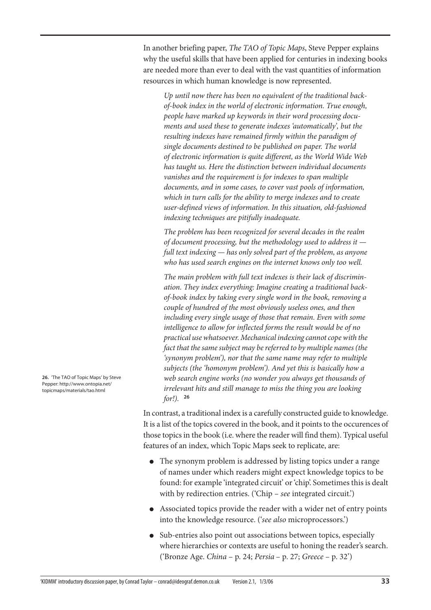In another briefing paper, *The TAO of Topic Maps*, Steve Pepper explains why the useful skills that have been applied for centuries in indexing books are needed more than ever to deal with the vast quantities of information resources in which human knowledge is now represented.

*Up until now there has been no equivalent of the traditional backof-book index in the world of electronic information. True enough, people have marked up keywords in their word processing documents and used these to generate indexes 'automatically', but the resulting indexes have remained firmly within the paradigm of single documents destined to be published on paper. The world of electronic information is quite different, as the World Wide Web has taught us. Here the distinction between individual documents vanishes and the requirement is for indexes to span multiple documents, and in some cases, to cover vast pools of information, which in turn calls for the ability to merge indexes and to create user-defined views of information. In this situation, old-fashioned indexing techniques are pitifully inadequate.*

*The problem has been recognized for several decades in the realm of document processing, but the methodology used to address it full text indexing — has only solved part of the problem, as anyone who has used search engines on the internet knows only too well.*

*The main problem with full text indexes is their lack of discrimination. They index everything: Imagine creating a traditional backof-book index by taking every single word in the book, removing a couple of hundred of the most obviously useless ones, and then including every single usage of those that remain. Even with some intelligence to allow for inflected forms the result would be of no practical use whatsoever. Mechanical indexing cannot cope with the fact that the same subject may be referred to by multiple names (the 'synonym problem'), nor that the same name may refer to multiple subjects (the 'homonym problem'). And yet this is basically how a web search engine works (no wonder you always get thousands of irrelevant hits and still manage to miss the thing you are looking for!).* **<sup>26</sup>**

In contrast, a traditional index is a carefully constructed guide to knowledge. It is a list of the topics covered in the book, and it points to the occurences of those topics in the book (i.e. where the reader will find them). Typical useful features of an index, which Topic Maps seek to replicate, are:

- The synonym problem is addressed by listing topics under a range of names under which readers might expect knowledge topics to be found: for example 'integrated circuit' or 'chip'. Sometimes this is dealt with by redirection entries. ('Chip – *see* integrated circuit.')
- Associated topics provide the reader with a wider net of entry points into the knowledge resource. ('*see also* microprocessors.')
- Sub-entries also point out associations between topics, especially where hierarchies or contexts are useful to honing the reader's search. ('Bronze Age. *China* – p. 24; *Persia* – p. 27; *Greece* – p. 32')

**26.** 'The TAO of Topic Maps' by Steve Pepper: http://www.ontopia.net/ topicmaps/materials/tao.html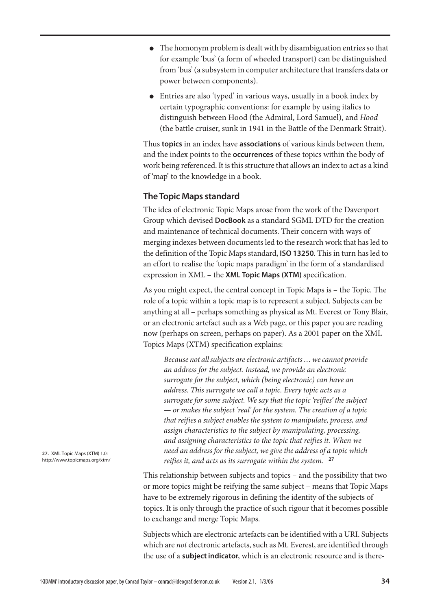- The homonym problem is dealt with by disambiguation entries so that for example 'bus' (a form of wheeled transport) can be distinguished from 'bus' (a subsystem in computer architecture that transfers data or power between components).
- Entries are also 'typed' in various ways, usually in a book index by certain typographic conventions: for example by using italics to distinguish between Hood (the Admiral, Lord Samuel), and *Hood* (the battle cruiser, sunk in 1941 in the Battle of the Denmark Strait).

Thus **topics** in an index have **associations** of various kinds between them, and the index points to the **occurrences** of these topics within the body of work being referenced. It is this structure that allows an index to act as a kind of 'map' to the knowledge in a book.

#### **The Topic Maps standard**

The idea of electronic Topic Maps arose from the work of the Davenport Group which devised **DocBook** as a standard SGML DTD for the creation and maintenance of technical documents. Their concern with ways of merging indexes between documents led to the research work that has led to the definition of the Topic Maps standard, **ISO 13250**. This in turn has led to an effort to realise the 'topic maps paradigm' in the form of a standardised expression in XML – the **XML Topic Maps (XTM)** specification.

As you might expect, the central concept in Topic Maps is – the Topic. The role of a topic within a topic map is to represent a subject. Subjects can be anything at all – perhaps something as physical as Mt. Everest or Tony Blair, or an electronic artefact such as a Web page, or this paper you are reading now (perhaps on screen, perhaps on paper). As a 2001 paper on the XML Topics Maps (XTM) specification explains:

*Because not all subjects are electronic artifacts … we cannot provide an address for the subject. Instead, we provide an electronic surrogate for the subject, which (being electronic) can have an address. This surrogate we call a topic. Every topic acts as a surrogate for some subject. We say that the topic 'reifies' the subject — or makes the subject 'real' for the system. The creation of a topic that reifies a subject enables the system to manipulate, process, and assign characteristics to the subject by manipulating, processing, and assigning characteristics to the topic that reifies it. When we need an address for the subject, we give the address of a topic which reifies it, and acts as its surrogate within the system.* **<sup>27</sup>**

This relationship between subjects and topics – and the possibility that two or more topics might be reifying the same subject – means that Topic Maps have to be extremely rigorous in defining the identity of the subjects of topics. It is only through the practice of such rigour that it becomes possible to exchange and merge Topic Maps.

Subjects which are electronic artefacts can be identified with a URI. Subjects which are *not* electronic artefacts, such as Mt. Everest, are identified through the use of a **subject indicator**, which is an electronic resource and is there-

**27.** XML Topic Maps (XTM) 1.0: http://www.topicmaps.org/xtm/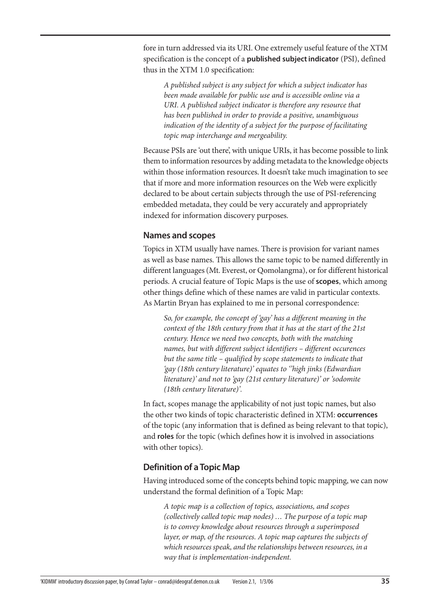fore in turn addressed via its URI. One extremely useful feature of the XTM specification is the concept of a **published subject indicator** (PSI), defined thus in the XTM 1.0 specification:

*A published subject is any subject for which a subject indicator has been made available for public use and is accessible online via a URI. A published subject indicator is therefore any resource that has been published in order to provide a positive, unambiguous indication of the identity of a subject for the purpose of facilitating topic map interchange and mergeability.*

Because PSIs are 'out there', with unique URIs, it has become possible to link them to information resources by adding metadata to the knowledge objects within those information resources. It doesn't take much imagination to see that if more and more information resources on the Web were explicitly declared to be about certain subjects through the use of PSI-referencing embedded metadata, they could be very accurately and appropriately indexed for information discovery purposes.

#### **Names and scopes**

Topics in XTM usually have names. There is provision for variant names as well as base names. This allows the same topic to be named differently in different languages (Mt. Everest, or Qomolangma), or for different historical periods. A crucial feature of Topic Maps is the use of **scopes**, which among other things define which of these names are valid in particular contexts. As Martin Bryan has explained to me in personal correspondence:

*So, for example, the concept of 'gay' has a different meaning in the context of the 18th century from that it has at the start of the 21st century. Hence we need two concepts, both with the matching names, but with different subject identifiers – different occurences but the same title – qualified by scope statements to indicate that 'gay (18th century literature)' equates to ''high jinks (Edwardian literature)' and not to 'gay (21st century literature)' or 'sodomite (18th century literature)'.*

In fact, scopes manage the applicability of not just topic names, but also the other two kinds of topic characteristic defined in XTM: **occurrences** of the topic (any information that is defined as being relevant to that topic), and **roles** for the topic (which defines how it is involved in associations with other topics).

### **Definition of a Topic Map**

Having introduced some of the concepts behind topic mapping, we can now understand the formal definition of a Topic Map:

*A topic map is a collection of topics, associations, and scopes (collectively called topic map nodes) … The purpose of a topic map is to convey knowledge about resources through a superimposed*  layer, or map, of the resources. A topic map captures the subjects of *which resources speak, and the relationships between resources, in a way that is implementation-independent.*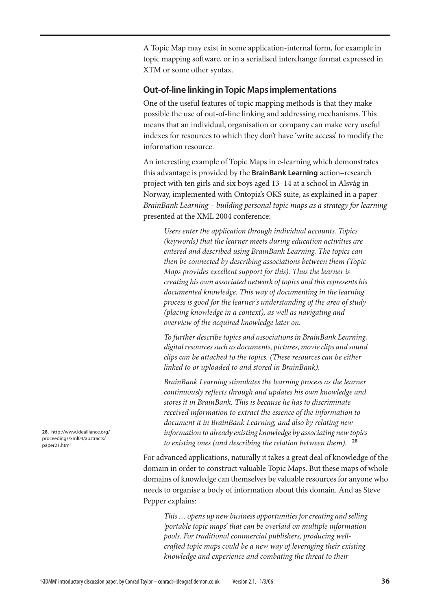A Topic Map may exist in some application-internal form, for example in topic mapping software, or in a serialised interchange format expressed in XTM or some other syntax.

#### **Out-of-line linking in Topic Maps implementations**

One of the useful features of topic mapping methods is that they make possible the use of out-of-line linking and addressing mechanisms. This means that an individual, organisation or company can make very useful indexes for resources to which they don't have 'write access' to modify the information resource.

An interesting example of Topic Maps in e-learning which demonstrates this advantage is provided by the **BrainBank Learning** action–research project with ten girls and six boys aged 13–14 at a school in Alsvåg in Norway, implemented with Ontopia's OKS suite, as explained in a paper *BrainBank Learning – building personal topic maps as a strategy for learning* presented at the XML 2004 conference:

*Users enter the application through individual accounts. Topics (keywords) that the learner meets during education activities are entered and described using BrainBank Learning. The topics can then be connected by describing associations between them (Topic Maps provides excellent support for this). Thus the learner is creating his own associated network of topics and this represents his documented knowledge. This way of documenting in the learning process is good for the learner's understanding of the area of study (placing knowledge in a context), as well as navigating and overview of the acquired knowledge later on.*

*To further describe topics and associations in BrainBank Learning, digital resources such as documents, pictures, movie clips and sound clips can be attached to the topics. (These resources can be either linked to or uploaded to and stored in BrainBank).*

*BrainBank Learning stimulates the learning process as the learner continuously reflects through and updates his own knowledge and stores it in BrainBank. This is because he has to discriminate received information to extract the essence of the information to document it in BrainBank Learning, and also by relating new information to already existing knowledge by associating new topics to existing ones (and describing the relation between them).* **<sup>28</sup>**

For advanced applications, naturally it takes a great deal of knowledge of the domain in order to construct valuable Topic Maps. But these maps of whole domains of knowledge can themselves be valuable resources for anyone who needs to organise a body of information about this domain. And as Steve Pepper explains:

*This … opens up new business opportunities for creating and selling 'portable topic maps' that can be overlaid on multiple information pools. For traditional commercial publishers, producing wellcrafted topic maps could be a new way of leveraging their existing knowledge and experience and combating the threat to their* 

**28.** http://www.idealliance.org/ proceedings/xml04/abstracts/ paper21.html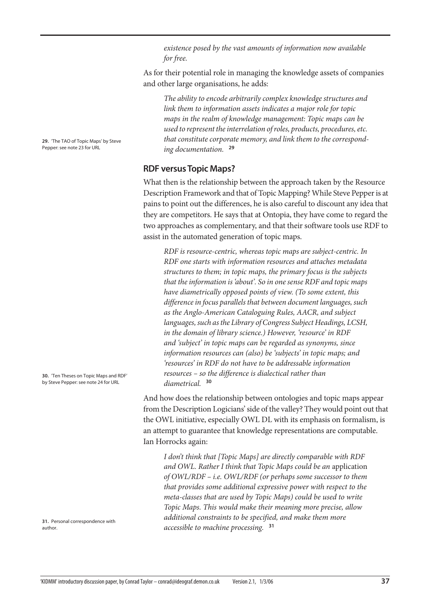*existence posed by the vast amounts of information now available for free.*

As for their potential role in managing the knowledge assets of companies and other large organisations, he adds:

*The ability to encode arbitrarily complex knowledge structures and link them to information assets indicates a major role for topic maps in the realm of knowledge management: Topic maps can be used to represent the interrelation of roles, products, procedures, etc. that constitute corporate memory, and link them to the corresponding documentation.* **<sup>29</sup>**

#### **RDF versus Topic Maps?**

What then is the relationship between the approach taken by the Resource Description Framework and that of Topic Mapping? While Steve Pepper is at pains to point out the differences, he is also careful to discount any idea that they are competitors. He says that at Ontopia, they have come to regard the two approaches as complementary, and that their software tools use RDF to assist in the automated generation of topic maps.

*RDF is resource-centric, whereas topic maps are subject-centric. In RDF one starts with information resources and attaches metadata structures to them; in topic maps, the primary focus is the subjects that the information is 'about'. So in one sense RDF and topic maps have diametrically opposed points of view. (To some extent, this difference in focus parallels that between document languages, such as the Anglo-American Cataloguing Rules, AACR, and subject languages, such as the Library of Congress Subject Headings, LCSH, in the domain of library science.) However, 'resource' in RDF and 'subject' in topic maps can be regarded as synonyms, since information resources can (also) be 'subjects' in topic maps; and 'resources' in RDF do not have to be addressable information resources – so the difference is dialectical rather than diametrical.* **<sup>30</sup>**

And how does the relationship between ontologies and topic maps appear from the Description Logicians' side of the valley? They would point out that the OWL initiative, especially OWL DL with its emphasis on formalism, is an attempt to guarantee that knowledge representations are computable. Ian Horrocks again:

*I don't think that [Topic Maps] are directly comparable with RDF and OWL. Rather I think that Topic Maps could be an* application *of OWL/RDF – i.e. OWL/RDF (or perhaps some successor to them that provides some additional expressive power with respect to the meta-classes that are used by Topic Maps) could be used to write Topic Maps. This would make their meaning more precise, allow additional constraints to be specified, and make them more accessible to machine processing.* **<sup>31</sup>**

**29.** 'The TAO of Topic Maps' by Steve Pepper: see note 23 for URL

**30.** 'Ten Theses on Topic Maps and RDF' by Steve Pepper: see note 24 for URL

**31.** Personal correspondence with author.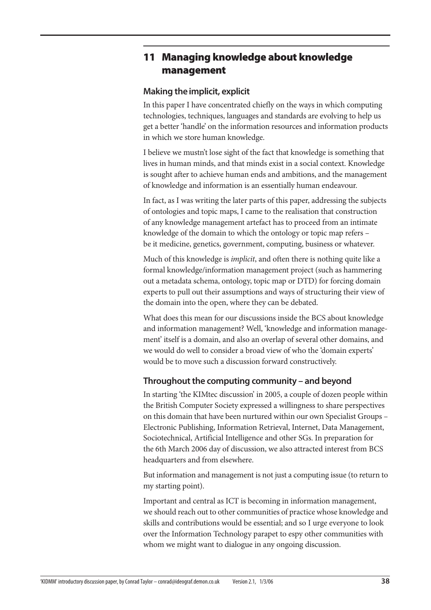# **11 Managing knowledge about knowledge management**

#### **Making the implicit, explicit**

In this paper I have concentrated chiefly on the ways in which computing technologies, techniques, languages and standards are evolving to help us get a better 'handle' on the information resources and information products in which we store human knowledge.

I believe we mustn't lose sight of the fact that knowledge is something that lives in human minds, and that minds exist in a social context. Knowledge is sought after to achieve human ends and ambitions, and the management of knowledge and information is an essentially human endeavour.

In fact, as I was writing the later parts of this paper, addressing the subjects of ontologies and topic maps, I came to the realisation that construction of any knowledge management artefact has to proceed from an intimate knowledge of the domain to which the ontology or topic map refers – be it medicine, genetics, government, computing, business or whatever.

Much of this knowledge is *implicit*, and often there is nothing quite like a formal knowledge/information management project (such as hammering out a metadata schema, ontology, topic map or DTD) for forcing domain experts to pull out their assumptions and ways of structuring their view of the domain into the open, where they can be debated.

What does this mean for our discussions inside the BCS about knowledge and information management? Well, 'knowledge and information management' itself is a domain, and also an overlap of several other domains, and we would do well to consider a broad view of who the 'domain experts' would be to move such a discussion forward constructively.

## **Throughout the computing community – and beyond**

In starting 'the KIMtec discussion' in 2005, a couple of dozen people within the British Computer Society expressed a willingness to share perspectives on this domain that have been nurtured within our own Specialist Groups – Electronic Publishing, Information Retrieval, Internet, Data Management, Sociotechnical, Artificial Intelligence and other SGs. In preparation for the 6th March 2006 day of discussion, we also attracted interest from BCS headquarters and from elsewhere.

But information and management is not just a computing issue (to return to my starting point).

Important and central as ICT is becoming in information management, we should reach out to other communities of practice whose knowledge and skills and contributions would be essential; and so I urge everyone to look over the Information Technology parapet to espy other communities with whom we might want to dialogue in any ongoing discussion.